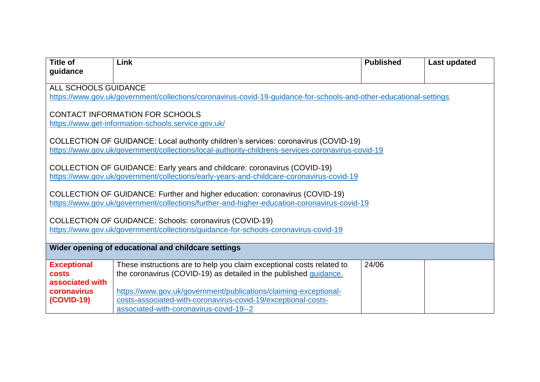| <b>Title of</b>                                     | Link                                                                                                               | <b>Published</b> | <b>Last updated</b> |  |
|-----------------------------------------------------|--------------------------------------------------------------------------------------------------------------------|------------------|---------------------|--|
| guidance                                            |                                                                                                                    |                  |                     |  |
| ALL SCHOOLS GUIDANCE                                |                                                                                                                    |                  |                     |  |
|                                                     | https://www.gov.uk/government/collections/coronavirus-covid-19-guidance-for-schools-and-other-educational-settings |                  |                     |  |
|                                                     |                                                                                                                    |                  |                     |  |
|                                                     | CONTACT INFORMATION FOR SCHOOLS<br>https://www.get-information-schools.service.gov.uk/                             |                  |                     |  |
|                                                     |                                                                                                                    |                  |                     |  |
|                                                     | COLLECTION OF GUIDANCE: Local authority children's services: coronavirus (COVID-19)                                |                  |                     |  |
|                                                     | https://www.gov.uk/government/collections/local-authority-childrens-services-coronavirus-covid-19                  |                  |                     |  |
|                                                     |                                                                                                                    |                  |                     |  |
|                                                     | COLLECTION OF GUIDANCE: Early years and childcare: coronavirus (COVID-19)                                          |                  |                     |  |
|                                                     | https://www.gov.uk/government/collections/early-years-and-childcare-coronavirus-covid-19                           |                  |                     |  |
|                                                     | COLLECTION OF GUIDANCE: Further and higher education: coronavirus (COVID-19)                                       |                  |                     |  |
|                                                     | https://www.gov.uk/government/collections/further-and-higher-education-coronavirus-covid-19                        |                  |                     |  |
|                                                     |                                                                                                                    |                  |                     |  |
|                                                     | COLLECTION OF GUIDANCE: Schools: coronavirus (COVID-19)                                                            |                  |                     |  |
|                                                     | https://www.gov.uk/government/collections/guidance-for-schools-coronavirus-covid-19                                |                  |                     |  |
|                                                     |                                                                                                                    |                  |                     |  |
| Wider opening of educational and childcare settings |                                                                                                                    |                  |                     |  |
| <b>Exceptional</b>                                  | These instructions are to help you claim exceptional costs related to                                              | 24/06            |                     |  |
| <b>costs</b>                                        | the coronavirus (COVID-19) as detailed in the published guidance.                                                  |                  |                     |  |
| associated with                                     |                                                                                                                    |                  |                     |  |
| coronavirus                                         | https://www.gov.uk/government/publications/claiming-exceptional-                                                   |                  |                     |  |
| <b>(COVID-19)</b>                                   | costs-associated-with-coronavirus-covid-19/exceptional-costs-                                                      |                  |                     |  |
|                                                     | associated-with-coronavirus-covid-19--2                                                                            |                  |                     |  |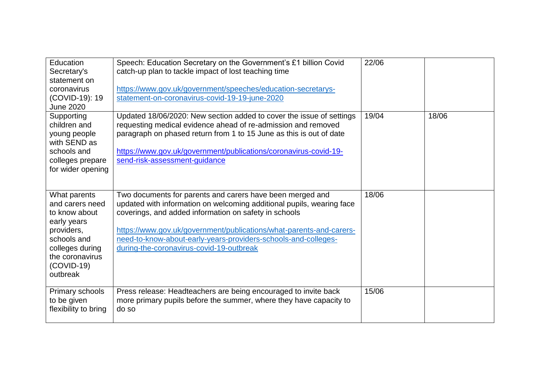| Education<br>Secretary's<br>statement on<br>coronavirus<br>(COVID-19): 19<br><b>June 2020</b>                                                                  | Speech: Education Secretary on the Government's £1 billion Covid<br>catch-up plan to tackle impact of lost teaching time<br>https://www.gov.uk/government/speeches/education-secretarys-<br>statement-on-coronavirus-covid-19-19-june-2020                                                                                                                                       | 22/06 |       |
|----------------------------------------------------------------------------------------------------------------------------------------------------------------|----------------------------------------------------------------------------------------------------------------------------------------------------------------------------------------------------------------------------------------------------------------------------------------------------------------------------------------------------------------------------------|-------|-------|
| Supporting<br>children and<br>young people<br>with SEND as<br>schools and<br>colleges prepare<br>for wider opening                                             | Updated 18/06/2020: New section added to cover the issue of settings<br>requesting medical evidence ahead of re-admission and removed<br>paragraph on phased return from 1 to 15 June as this is out of date<br>https://www.gov.uk/government/publications/coronavirus-covid-19-<br>send-risk-assessment-guidance                                                                | 19/04 | 18/06 |
| What parents<br>and carers need<br>to know about<br>early years<br>providers,<br>schools and<br>colleges during<br>the coronavirus<br>$(COVID-19)$<br>outbreak | Two documents for parents and carers have been merged and<br>updated with information on welcoming additional pupils, wearing face<br>coverings, and added information on safety in schools<br>https://www.gov.uk/government/publications/what-parents-and-carers-<br>need-to-know-about-early-years-providers-schools-and-colleges-<br>during-the-coronavirus-covid-19-outbreak | 18/06 |       |
| Primary schools<br>to be given<br>flexibility to bring                                                                                                         | Press release: Headteachers are being encouraged to invite back<br>more primary pupils before the summer, where they have capacity to<br>do so                                                                                                                                                                                                                                   | 15/06 |       |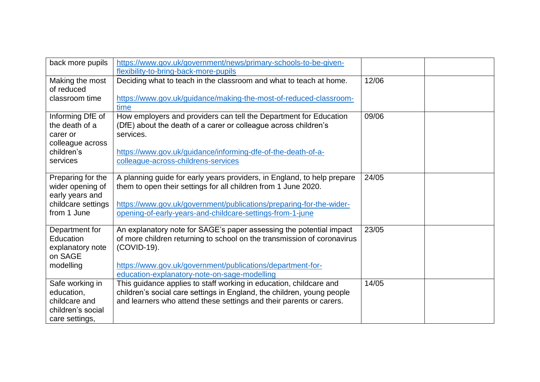| back more pupils                                                                              | https://www.gov.uk/government/news/primary-schools-to-be-given-                                                                                                                                                                                                               |       |  |
|-----------------------------------------------------------------------------------------------|-------------------------------------------------------------------------------------------------------------------------------------------------------------------------------------------------------------------------------------------------------------------------------|-------|--|
| Making the most<br>of reduced<br>classroom time                                               | flexibility-to-bring-back-more-pupils<br>Deciding what to teach in the classroom and what to teach at home.<br>https://www.gov.uk/guidance/making-the-most-of-reduced-classroom-<br>time                                                                                      | 12/06 |  |
| Informing DfE of<br>the death of a<br>carer or<br>colleague across<br>children's<br>services  | How employers and providers can tell the Department for Education<br>(DfE) about the death of a carer or colleague across children's<br>services.<br>https://www.gov.uk/guidance/informing-dfe-of-the-death-of-a-<br>colleague-across-childrens-services                      | 09/06 |  |
| Preparing for the<br>wider opening of<br>early years and<br>childcare settings<br>from 1 June | A planning guide for early years providers, in England, to help prepare<br>them to open their settings for all children from 1 June 2020.<br>https://www.gov.uk/government/publications/preparing-for-the-wider-<br>opening-of-early-years-and-childcare-settings-from-1-june | 24/05 |  |
| Department for<br>Education<br>explanatory note<br>on SAGE<br>modelling                       | An explanatory note for SAGE's paper assessing the potential impact<br>of more children returning to school on the transmission of coronavirus<br>(COVID-19).<br>https://www.gov.uk/government/publications/department-for-<br>education-explanatory-note-on-sage-modelling   | 23/05 |  |
| Safe working in<br>education,<br>childcare and<br>children's social<br>care settings,         | This guidance applies to staff working in education, childcare and<br>children's social care settings in England, the children, young people<br>and learners who attend these settings and their parents or carers.                                                           | 14/05 |  |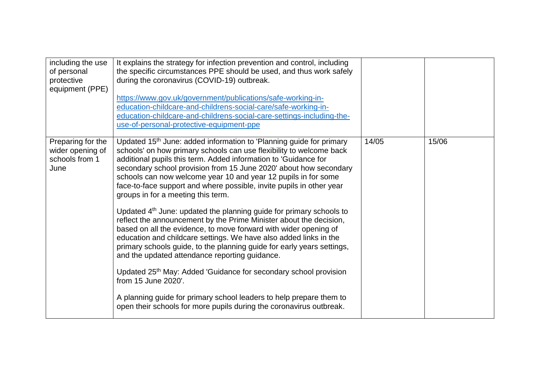| including the use<br>of personal<br>protective<br>equipment (PPE) | It explains the strategy for infection prevention and control, including<br>the specific circumstances PPE should be used, and thus work safely<br>during the coronavirus (COVID-19) outbreak.<br>https://www.gov.uk/government/publications/safe-working-in-<br>education-childcare-and-childrens-social-care/safe-working-in-<br>education-childcare-and-childrens-social-care-settings-including-the-<br>use-of-personal-protective-equipment-ppe                           |       |       |  |
|-------------------------------------------------------------------|--------------------------------------------------------------------------------------------------------------------------------------------------------------------------------------------------------------------------------------------------------------------------------------------------------------------------------------------------------------------------------------------------------------------------------------------------------------------------------|-------|-------|--|
| Preparing for the<br>wider opening of<br>schools from 1<br>June   | Updated 15 <sup>th</sup> June: added information to 'Planning guide for primary<br>schools' on how primary schools can use flexibility to welcome back<br>additional pupils this term. Added information to 'Guidance for<br>secondary school provision from 15 June 2020' about how secondary<br>schools can now welcome year 10 and year 12 pupils in for some<br>face-to-face support and where possible, invite pupils in other year<br>groups in for a meeting this term. | 14/05 | 15/06 |  |
|                                                                   | Updated 4 <sup>th</sup> June: updated the planning guide for primary schools to<br>reflect the announcement by the Prime Minister about the decision,<br>based on all the evidence, to move forward with wider opening of<br>education and childcare settings. We have also added links in the<br>primary schools guide, to the planning guide for early years settings,<br>and the updated attendance reporting guidance.                                                     |       |       |  |
|                                                                   | Updated 25th May: Added 'Guidance for secondary school provision<br>from 15 June 2020'.                                                                                                                                                                                                                                                                                                                                                                                        |       |       |  |
|                                                                   | A planning guide for primary school leaders to help prepare them to<br>open their schools for more pupils during the coronavirus outbreak.                                                                                                                                                                                                                                                                                                                                     |       |       |  |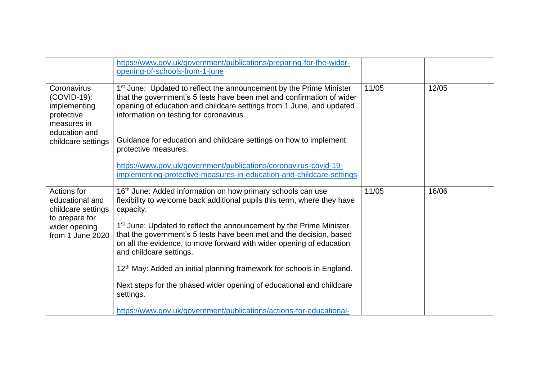|                                                                                          | https://www.gov.uk/government/publications/preparing-for-the-wider-<br>opening-of-schools-from-1-june                                                                                                                                                                       |       |       |
|------------------------------------------------------------------------------------------|-----------------------------------------------------------------------------------------------------------------------------------------------------------------------------------------------------------------------------------------------------------------------------|-------|-------|
| Coronavirus<br>(COVID-19):<br>implementing<br>protective<br>measures in<br>education and | 1 <sup>st</sup> June: Updated to reflect the announcement by the Prime Minister<br>that the government's 5 tests have been met and confirmation of wider<br>opening of education and childcare settings from 1 June, and updated<br>information on testing for coronavirus. | 11/05 | 12/05 |
| childcare settings                                                                       | Guidance for education and childcare settings on how to implement<br>protective measures.                                                                                                                                                                                   |       |       |
|                                                                                          | https://www.gov.uk/government/publications/coronavirus-covid-19-<br>implementing-protective-measures-in-education-and-childcare-settings                                                                                                                                    |       |       |
| Actions for<br>educational and<br>childcare settings<br>to prepare for                   | 16 <sup>th</sup> June: Added information on how primary schools can use<br>flexibility to welcome back additional pupils this term, where they have<br>capacity.                                                                                                            | 11/05 | 16/06 |
| wider opening<br>from 1 June 2020                                                        | 1 <sup>st</sup> June: Updated to reflect the announcement by the Prime Minister<br>that the government's 5 tests have been met and the decision, based<br>on all the evidence, to move forward with wider opening of education<br>and childcare settings.                   |       |       |
|                                                                                          | 12 <sup>th</sup> May: Added an initial planning framework for schools in England.                                                                                                                                                                                           |       |       |
|                                                                                          | Next steps for the phased wider opening of educational and childcare<br>settings.                                                                                                                                                                                           |       |       |
|                                                                                          | https://www.gov.uk/government/publications/actions-for-educational-                                                                                                                                                                                                         |       |       |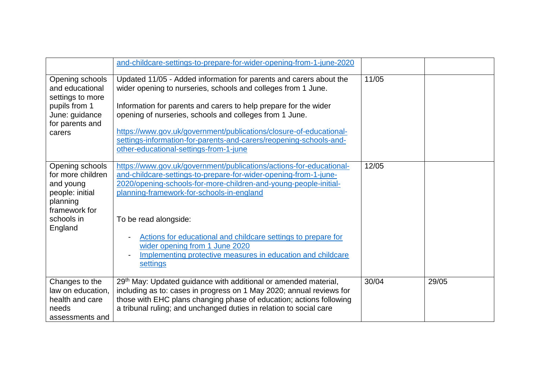|                                                                                                                            | and-childcare-settings-to-prepare-for-wider-opening-from-1-june-2020                                                                                                                                                                                                                                                                                                                                                                                            |       |       |
|----------------------------------------------------------------------------------------------------------------------------|-----------------------------------------------------------------------------------------------------------------------------------------------------------------------------------------------------------------------------------------------------------------------------------------------------------------------------------------------------------------------------------------------------------------------------------------------------------------|-------|-------|
| Opening schools<br>and educational<br>settings to more<br>pupils from 1<br>June: guidance<br>for parents and<br>carers     | Updated 11/05 - Added information for parents and carers about the<br>wider opening to nurseries, schools and colleges from 1 June.<br>Information for parents and carers to help prepare for the wider<br>opening of nurseries, schools and colleges from 1 June.<br>https://www.gov.uk/government/publications/closure-of-educational-<br>settings-information-for-parents-and-carers/reopening-schools-and-<br>other-educational-settings-from-1-june        | 11/05 |       |
| Opening schools<br>for more children<br>and young<br>people: initial<br>planning<br>framework for<br>schools in<br>England | https://www.gov.uk/government/publications/actions-for-educational-<br>and-childcare-settings-to-prepare-for-wider-opening-from-1-june-<br>2020/opening-schools-for-more-children-and-young-people-initial-<br>planning-framework-for-schools-in-england<br>To be read alongside:<br>Actions for educational and childcare settings to prepare for<br>wider opening from 1 June 2020<br>Implementing protective measures in education and childcare<br>settings | 12/05 |       |
| Changes to the<br>law on education,<br>health and care<br>needs<br>assessments and                                         | 29 <sup>th</sup> May: Updated guidance with additional or amended material,<br>including as to: cases in progress on 1 May 2020; annual reviews for<br>those with EHC plans changing phase of education; actions following<br>a tribunal ruling; and unchanged duties in relation to social care                                                                                                                                                                | 30/04 | 29/05 |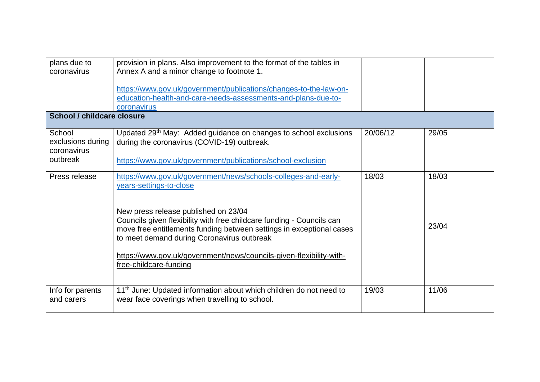| plans due to<br>coronavirus                            | provision in plans. Also improvement to the format of the tables in<br>Annex A and a minor change to footnote 1.<br>https://www.gov.uk/government/publications/changes-to-the-law-on-<br>education-health-and-care-needs-assessments-and-plans-due-to-<br>coronavirus                                                                                                                                                             |          |                |
|--------------------------------------------------------|-----------------------------------------------------------------------------------------------------------------------------------------------------------------------------------------------------------------------------------------------------------------------------------------------------------------------------------------------------------------------------------------------------------------------------------|----------|----------------|
| School / childcare closure                             |                                                                                                                                                                                                                                                                                                                                                                                                                                   |          |                |
| School<br>exclusions during<br>coronavirus<br>outbreak | Updated 29 <sup>th</sup> May: Added guidance on changes to school exclusions<br>during the coronavirus (COVID-19) outbreak.<br>https://www.gov.uk/government/publications/school-exclusion                                                                                                                                                                                                                                        | 20/06/12 | 29/05          |
| Press release                                          | https://www.gov.uk/government/news/schools-colleges-and-early-<br>years-settings-to-close<br>New press release published on 23/04<br>Councils given flexibility with free childcare funding - Councils can<br>move free entitlements funding between settings in exceptional cases<br>to meet demand during Coronavirus outbreak<br>https://www.gov.uk/government/news/councils-given-flexibility-with-<br>free-childcare-funding | 18/03    | 18/03<br>23/04 |
| Info for parents<br>and carers                         | 11 <sup>th</sup> June: Updated information about which children do not need to<br>wear face coverings when travelling to school.                                                                                                                                                                                                                                                                                                  | 19/03    | 11/06          |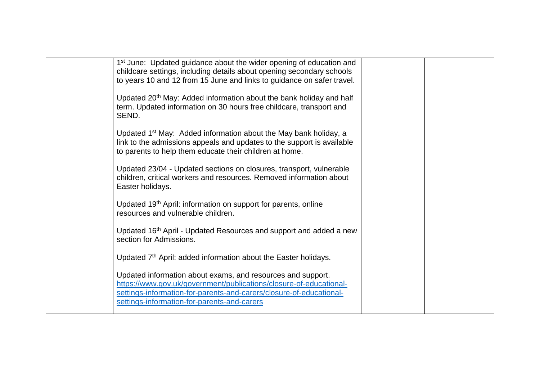| 1 <sup>st</sup> June: Updated guidance about the wider opening of education and<br>childcare settings, including details about opening secondary schools<br>to years 10 and 12 from 15 June and links to guidance on safer travel.                      |  |
|---------------------------------------------------------------------------------------------------------------------------------------------------------------------------------------------------------------------------------------------------------|--|
| Updated 20 <sup>th</sup> May: Added information about the bank holiday and half<br>term. Updated information on 30 hours free childcare, transport and<br>SEND.                                                                                         |  |
| Updated 1 <sup>st</sup> May: Added information about the May bank holiday, a<br>link to the admissions appeals and updates to the support is available<br>to parents to help them educate their children at home.                                       |  |
| Updated 23/04 - Updated sections on closures, transport, vulnerable<br>children, critical workers and resources. Removed information about<br>Easter holidays.                                                                                          |  |
| Updated 19 <sup>th</sup> April: information on support for parents, online<br>resources and vulnerable children.                                                                                                                                        |  |
| Updated 16 <sup>th</sup> April - Updated Resources and support and added a new<br>section for Admissions.                                                                                                                                               |  |
| Updated 7 <sup>th</sup> April: added information about the Easter holidays.                                                                                                                                                                             |  |
| Updated information about exams, and resources and support.<br>https://www.gov.uk/government/publications/closure-of-educational-<br>settings-information-for-parents-and-carers/closure-of-educational-<br>settings-information-for-parents-and-carers |  |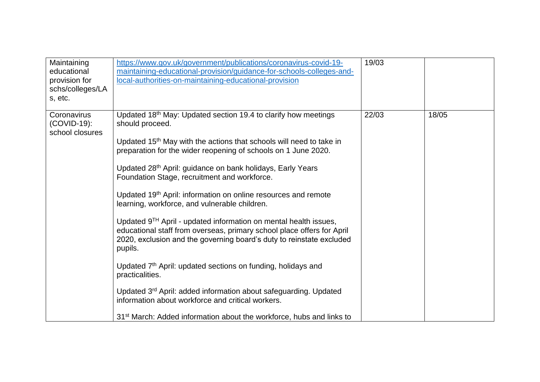| Maintaining<br>educational<br>provision for<br>schs/colleges/LA<br>s, etc. | https://www.gov.uk/government/publications/coronavirus-covid-19-<br>maintaining-educational-provision/guidance-for-schools-colleges-and-<br>local-authorities-on-maintaining-educational-provision                                                                                                                                                                                                                                                                                                                                                                                                                                                                                                                                                                                                                                                                                                                                                                                                                                                                               | 19/03 |       |
|----------------------------------------------------------------------------|----------------------------------------------------------------------------------------------------------------------------------------------------------------------------------------------------------------------------------------------------------------------------------------------------------------------------------------------------------------------------------------------------------------------------------------------------------------------------------------------------------------------------------------------------------------------------------------------------------------------------------------------------------------------------------------------------------------------------------------------------------------------------------------------------------------------------------------------------------------------------------------------------------------------------------------------------------------------------------------------------------------------------------------------------------------------------------|-------|-------|
| Coronavirus<br>(COVID-19):<br>school closures                              | Updated 18 <sup>th</sup> May: Updated section 19.4 to clarify how meetings<br>should proceed.<br>Updated 15 <sup>th</sup> May with the actions that schools will need to take in<br>preparation for the wider reopening of schools on 1 June 2020.<br>Updated 28 <sup>th</sup> April: guidance on bank holidays, Early Years<br>Foundation Stage, recruitment and workforce.<br>Updated 19 <sup>th</sup> April: information on online resources and remote<br>learning, workforce, and vulnerable children.<br>Updated 9 <sup>TH</sup> April - updated information on mental health issues,<br>educational staff from overseas, primary school place offers for April<br>2020, exclusion and the governing board's duty to reinstate excluded<br>pupils.<br>Updated 7 <sup>th</sup> April: updated sections on funding, holidays and<br>practicalities.<br>Updated 3 <sup>rd</sup> April: added information about safeguarding. Updated<br>information about workforce and critical workers.<br>31 <sup>st</sup> March: Added information about the workforce, hubs and links to | 22/03 | 18/05 |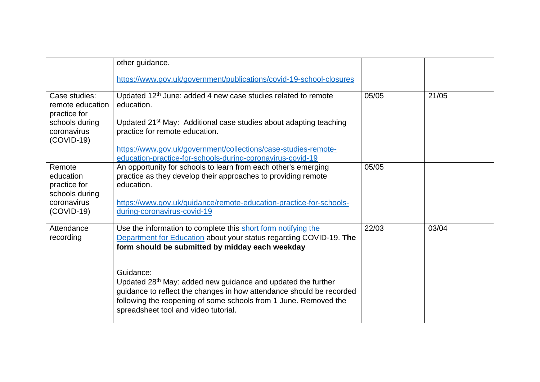|                                                       | other guidance.                                                                                                                                                                                                                                                           |       |       |
|-------------------------------------------------------|---------------------------------------------------------------------------------------------------------------------------------------------------------------------------------------------------------------------------------------------------------------------------|-------|-------|
|                                                       | https://www.gov.uk/government/publications/covid-19-school-closures                                                                                                                                                                                                       |       |       |
| Case studies:<br>remote education<br>practice for     | Updated 12 <sup>th</sup> June: added 4 new case studies related to remote<br>education.                                                                                                                                                                                   | 05/05 | 21/05 |
| schools during<br>coronavirus<br>$(COVID-19)$         | Updated 21 <sup>st</sup> May: Additional case studies about adapting teaching<br>practice for remote education.                                                                                                                                                           |       |       |
|                                                       | https://www.gov.uk/government/collections/case-studies-remote-<br>education-practice-for-schools-during-coronavirus-covid-19                                                                                                                                              |       |       |
| Remote<br>education<br>practice for<br>schools during | An opportunity for schools to learn from each other's emerging<br>practice as they develop their approaches to providing remote<br>education.                                                                                                                             | 05/05 |       |
| coronavirus<br>$(COVID-19)$                           | https://www.gov.uk/guidance/remote-education-practice-for-schools-<br>during-coronavirus-covid-19                                                                                                                                                                         |       |       |
| Attendance<br>recording                               | Use the information to complete this short form notifying the<br>Department for Education about your status regarding COVID-19. The<br>form should be submitted by midday each weekday                                                                                    | 22/03 | 03/04 |
|                                                       | Guidance:<br>Updated 28 <sup>th</sup> May: added new guidance and updated the further<br>guidance to reflect the changes in how attendance should be recorded<br>following the reopening of some schools from 1 June. Removed the<br>spreadsheet tool and video tutorial. |       |       |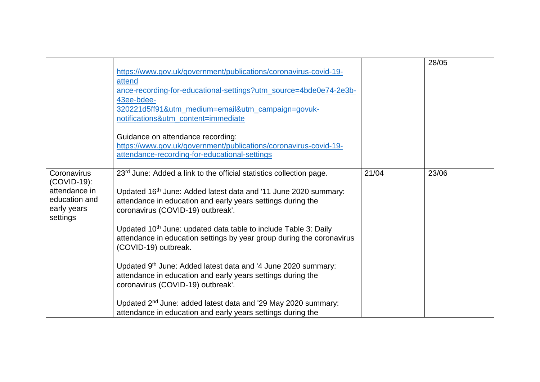|                                                                                         | https://www.gov.uk/government/publications/coronavirus-covid-19-<br>attend<br>ance-recording-for-educational-settings?utm_source=4bde0e74-2e3b-<br>43ee-bdee-<br>320221d5ff91&utm_medium=email&utm_campaign=govuk-<br>notifications&utm_content=immediate<br>Guidance on attendance recording:<br>https://www.gov.uk/government/publications/coronavirus-covid-19-<br>attendance-recording-for-educational-settings                                                                                                                                                                                                                                                                                                                                     |       | 28/05 |
|-----------------------------------------------------------------------------------------|---------------------------------------------------------------------------------------------------------------------------------------------------------------------------------------------------------------------------------------------------------------------------------------------------------------------------------------------------------------------------------------------------------------------------------------------------------------------------------------------------------------------------------------------------------------------------------------------------------------------------------------------------------------------------------------------------------------------------------------------------------|-------|-------|
| Coronavirus<br>(COVID-19):<br>attendance in<br>education and<br>early years<br>settings | 23 <sup>rd</sup> June: Added a link to the official statistics collection page.<br>Updated 16th June: Added latest data and '11 June 2020 summary:<br>attendance in education and early years settings during the<br>coronavirus (COVID-19) outbreak'.<br>Updated 10 <sup>th</sup> June: updated data table to include Table 3: Daily<br>attendance in education settings by year group during the coronavirus<br>(COVID-19) outbreak.<br>Updated 9th June: Added latest data and '4 June 2020 summary:<br>attendance in education and early years settings during the<br>coronavirus (COVID-19) outbreak'.<br>Updated 2 <sup>nd</sup> June: added latest data and '29 May 2020 summary:<br>attendance in education and early years settings during the | 21/04 | 23/06 |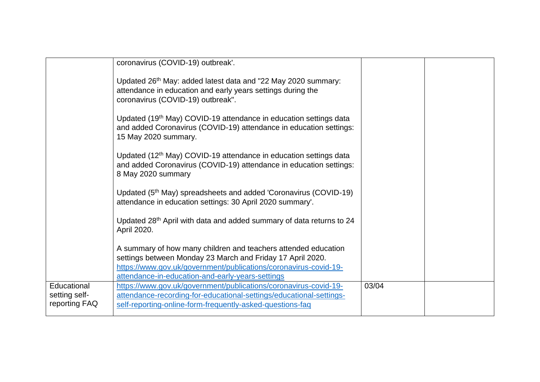|                                               | coronavirus (COVID-19) outbreak'.                                                                                                                                                                    |       |  |
|-----------------------------------------------|------------------------------------------------------------------------------------------------------------------------------------------------------------------------------------------------------|-------|--|
|                                               | Updated 26 <sup>th</sup> May: added latest data and "22 May 2020 summary:<br>attendance in education and early years settings during the<br>coronavirus (COVID-19) outbreak".                        |       |  |
|                                               | Updated (19 <sup>th</sup> May) COVID-19 attendance in education settings data<br>and added Coronavirus (COVID-19) attendance in education settings:<br>15 May 2020 summary.                          |       |  |
|                                               | Updated (12 <sup>th</sup> May) COVID-19 attendance in education settings data<br>and added Coronavirus (COVID-19) attendance in education settings:<br>8 May 2020 summary                            |       |  |
|                                               | Updated (5 <sup>th</sup> May) spreadsheets and added 'Coronavirus (COVID-19)<br>attendance in education settings: 30 April 2020 summary'.                                                            |       |  |
|                                               | Updated 28 <sup>th</sup> April with data and added summary of data returns to 24<br>April 2020.                                                                                                      |       |  |
|                                               | A summary of how many children and teachers attended education                                                                                                                                       |       |  |
|                                               | settings between Monday 23 March and Friday 17 April 2020.                                                                                                                                           |       |  |
|                                               | https://www.gov.uk/government/publications/coronavirus-covid-19-<br>attendance-in-education-and-early-years-settings                                                                                 |       |  |
| Educational<br>setting self-<br>reporting FAQ | https://www.gov.uk/government/publications/coronavirus-covid-19-<br>attendance-recording-for-educational-settings/educational-settings-<br>self-reporting-online-form-frequently-asked-questions-faq | 03/04 |  |
|                                               |                                                                                                                                                                                                      |       |  |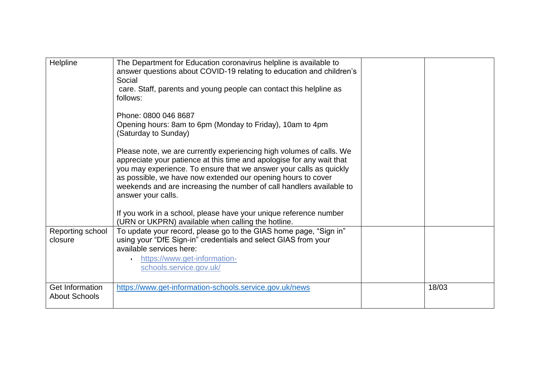| Helpline                                       | The Department for Education coronavirus helpline is available to<br>answer questions about COVID-19 relating to education and children's<br>Social<br>care. Staff, parents and young people can contact this helpline as<br>follows:                                                                                                                                             |       |
|------------------------------------------------|-----------------------------------------------------------------------------------------------------------------------------------------------------------------------------------------------------------------------------------------------------------------------------------------------------------------------------------------------------------------------------------|-------|
|                                                | Phone: 0800 046 8687<br>Opening hours: 8am to 6pm (Monday to Friday), 10am to 4pm<br>(Saturday to Sunday)                                                                                                                                                                                                                                                                         |       |
|                                                | Please note, we are currently experiencing high volumes of calls. We<br>appreciate your patience at this time and apologise for any wait that<br>you may experience. To ensure that we answer your calls as quickly<br>as possible, we have now extended our opening hours to cover<br>weekends and are increasing the number of call handlers available to<br>answer your calls. |       |
|                                                | If you work in a school, please have your unique reference number<br>(URN or UKPRN) available when calling the hotline.                                                                                                                                                                                                                                                           |       |
| Reporting school<br>closure                    | To update your record, please go to the GIAS home page, "Sign in"<br>using your "DfE Sign-in" credentials and select GIAS from your<br>available services here:<br>https://www.get-information-<br>schools.service.gov.uk/                                                                                                                                                        |       |
| <b>Get Information</b><br><b>About Schools</b> | https://www.get-information-schools.service.gov.uk/news                                                                                                                                                                                                                                                                                                                           | 18/03 |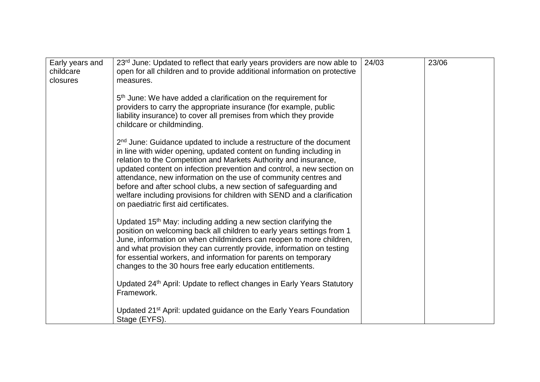| Early years and<br>childcare<br>closures | 23rd June: Updated to reflect that early years providers are now able to<br>open for all children and to provide additional information on protective<br>measures.                                                                                                                                                                                                                                                                                                                                                                                             | 24/03 | 23/06 |
|------------------------------------------|----------------------------------------------------------------------------------------------------------------------------------------------------------------------------------------------------------------------------------------------------------------------------------------------------------------------------------------------------------------------------------------------------------------------------------------------------------------------------------------------------------------------------------------------------------------|-------|-------|
|                                          | 5 <sup>th</sup> June: We have added a clarification on the requirement for<br>providers to carry the appropriate insurance (for example, public<br>liability insurance) to cover all premises from which they provide<br>childcare or childminding.                                                                                                                                                                                                                                                                                                            |       |       |
|                                          | 2 <sup>nd</sup> June: Guidance updated to include a restructure of the document<br>in line with wider opening, updated content on funding including in<br>relation to the Competition and Markets Authority and insurance,<br>updated content on infection prevention and control, a new section on<br>attendance, new information on the use of community centres and<br>before and after school clubs, a new section of safeguarding and<br>welfare including provisions for children with SEND and a clarification<br>on paediatric first aid certificates. |       |       |
|                                          | Updated 15 <sup>th</sup> May: including adding a new section clarifying the<br>position on welcoming back all children to early years settings from 1<br>June, information on when childminders can reopen to more children,<br>and what provision they can currently provide, information on testing<br>for essential workers, and information for parents on temporary<br>changes to the 30 hours free early education entitlements.                                                                                                                         |       |       |
|                                          | Updated 24 <sup>th</sup> April: Update to reflect changes in Early Years Statutory<br>Framework.                                                                                                                                                                                                                                                                                                                                                                                                                                                               |       |       |
|                                          | Updated 21 <sup>st</sup> April: updated guidance on the Early Years Foundation<br>Stage (EYFS).                                                                                                                                                                                                                                                                                                                                                                                                                                                                |       |       |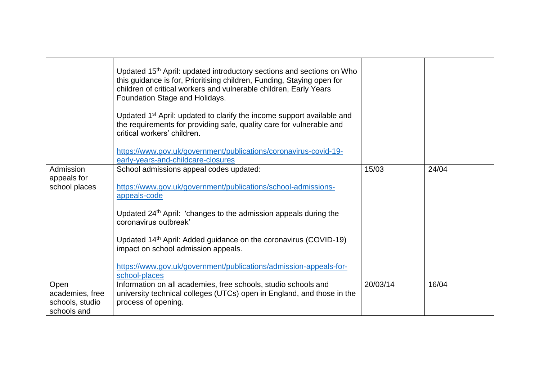|                 | Updated 15 <sup>th</sup> April: updated introductory sections and sections on Who<br>this guidance is for, Prioritising children, Funding, Staying open for<br>children of critical workers and vulnerable children, Early Years<br>Foundation Stage and Holidays.<br>Updated 1 <sup>st</sup> April: updated to clarify the income support available and<br>the requirements for providing safe, quality care for vulnerable and<br>critical workers' children.<br>https://www.gov.uk/government/publications/coronavirus-covid-19-<br>early-years-and-childcare-closures |          |       |
|-----------------|---------------------------------------------------------------------------------------------------------------------------------------------------------------------------------------------------------------------------------------------------------------------------------------------------------------------------------------------------------------------------------------------------------------------------------------------------------------------------------------------------------------------------------------------------------------------------|----------|-------|
| Admission       | School admissions appeal codes updated:                                                                                                                                                                                                                                                                                                                                                                                                                                                                                                                                   | 15/03    | 24/04 |
| appeals for     |                                                                                                                                                                                                                                                                                                                                                                                                                                                                                                                                                                           |          |       |
| school places   | https://www.gov.uk/government/publications/school-admissions-                                                                                                                                                                                                                                                                                                                                                                                                                                                                                                             |          |       |
|                 | appeals-code                                                                                                                                                                                                                                                                                                                                                                                                                                                                                                                                                              |          |       |
|                 | Updated 24 <sup>th</sup> April: 'changes to the admission appeals during the<br>coronavirus outbreak'                                                                                                                                                                                                                                                                                                                                                                                                                                                                     |          |       |
|                 | Updated 14th April: Added guidance on the coronavirus (COVID-19)                                                                                                                                                                                                                                                                                                                                                                                                                                                                                                          |          |       |
|                 | impact on school admission appeals.                                                                                                                                                                                                                                                                                                                                                                                                                                                                                                                                       |          |       |
|                 |                                                                                                                                                                                                                                                                                                                                                                                                                                                                                                                                                                           |          |       |
|                 | https://www.gov.uk/government/publications/admission-appeals-for-<br>school-places                                                                                                                                                                                                                                                                                                                                                                                                                                                                                        |          |       |
| Open            | Information on all academies, free schools, studio schools and                                                                                                                                                                                                                                                                                                                                                                                                                                                                                                            | 20/03/14 | 16/04 |
| academies, free | university technical colleges (UTCs) open in England, and those in the                                                                                                                                                                                                                                                                                                                                                                                                                                                                                                    |          |       |
| schools, studio | process of opening.                                                                                                                                                                                                                                                                                                                                                                                                                                                                                                                                                       |          |       |
| schools and     |                                                                                                                                                                                                                                                                                                                                                                                                                                                                                                                                                                           |          |       |
|                 |                                                                                                                                                                                                                                                                                                                                                                                                                                                                                                                                                                           |          |       |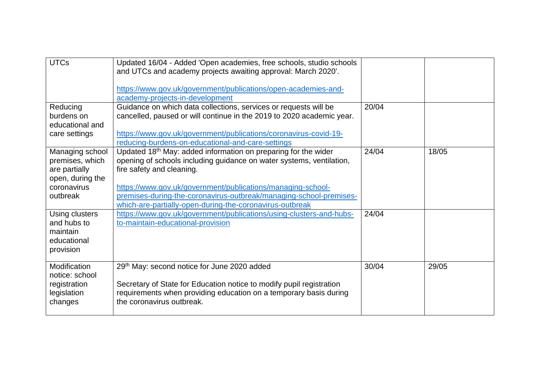| <b>UTCs</b>                                                                                        | Updated 16/04 - Added 'Open academies, free schools, studio schools<br>and UTCs and academy projects awaiting approval: March 2020'.<br>https://www.gov.uk/government/publications/open-academies-and-<br>academy-projects-in-development                                                                                                                                        |       |       |
|----------------------------------------------------------------------------------------------------|----------------------------------------------------------------------------------------------------------------------------------------------------------------------------------------------------------------------------------------------------------------------------------------------------------------------------------------------------------------------------------|-------|-------|
| Reducing<br>burdens on<br>educational and<br>care settings                                         | Guidance on which data collections, services or requests will be<br>cancelled, paused or will continue in the 2019 to 2020 academic year.<br>https://www.gov.uk/government/publications/coronavirus-covid-19-<br>reducing-burdens-on-educational-and-care-settings                                                                                                               | 20/04 |       |
| Managing school<br>premises, which<br>are partially<br>open, during the<br>coronavirus<br>outbreak | Updated 18 <sup>th</sup> May: added information on preparing for the wider<br>opening of schools including guidance on water systems, ventilation,<br>fire safety and cleaning.<br>https://www.gov.uk/government/publications/managing-school-<br>premises-during-the-coronavirus-outbreak/managing-school-premises-<br>which-are-partially-open-during-the-coronavirus-outbreak | 24/04 | 18/05 |
| Using clusters<br>and hubs to<br>maintain<br>educational<br>provision                              | https://www.gov.uk/government/publications/using-clusters-and-hubs-<br>to-maintain-educational-provision                                                                                                                                                                                                                                                                         | 24/04 |       |
| Modification<br>notice: school<br>registration<br>legislation<br>changes                           | 29th May: second notice for June 2020 added<br>Secretary of State for Education notice to modify pupil registration<br>requirements when providing education on a temporary basis during<br>the coronavirus outbreak.                                                                                                                                                            | 30/04 | 29/05 |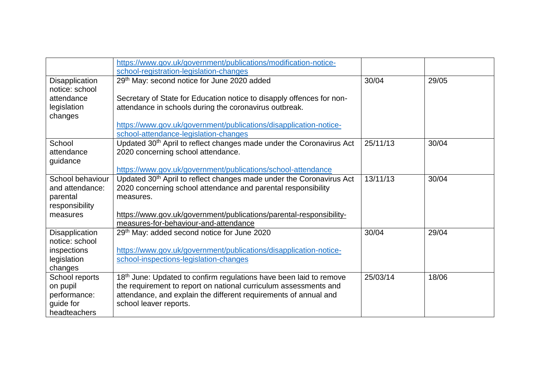|                       | https://www.gov.uk/government/publications/modification-notice-                  |          |       |  |
|-----------------------|----------------------------------------------------------------------------------|----------|-------|--|
|                       | school-registration-legislation-changes                                          |          |       |  |
| Disapplication        | 29th May: second notice for June 2020 added                                      | 30/04    | 29/05 |  |
| notice: school        |                                                                                  |          |       |  |
| attendance            | Secretary of State for Education notice to disapply offences for non-            |          |       |  |
| legislation           | attendance in schools during the coronavirus outbreak.                           |          |       |  |
| changes               |                                                                                  |          |       |  |
|                       | https://www.gov.uk/government/publications/disapplication-notice-                |          |       |  |
|                       | school-attendance-legislation-changes                                            |          |       |  |
| School                | Updated 30 <sup>th</sup> April to reflect changes made under the Coronavirus Act | 25/11/13 | 30/04 |  |
| attendance            | 2020 concerning school attendance.                                               |          |       |  |
| guidance              |                                                                                  |          |       |  |
|                       | https://www.gov.uk/government/publications/school-attendance                     |          |       |  |
| School behaviour      | Updated 30 <sup>th</sup> April to reflect changes made under the Coronavirus Act | 13/11/13 | 30/04 |  |
| and attendance:       | 2020 concerning school attendance and parental responsibility                    |          |       |  |
| parental              | measures.                                                                        |          |       |  |
| responsibility        |                                                                                  |          |       |  |
| measures              | https://www.gov.uk/government/publications/parental-responsibility-              |          |       |  |
|                       | measures-for-behaviour-and-attendance                                            |          |       |  |
| <b>Disapplication</b> | 29th May: added second notice for June 2020                                      | 30/04    | 29/04 |  |
| notice: school        |                                                                                  |          |       |  |
| inspections           | https://www.gov.uk/government/publications/disapplication-notice-                |          |       |  |
| legislation           | school-inspections-legislation-changes                                           |          |       |  |
| changes               |                                                                                  |          |       |  |
| School reports        | 18 <sup>th</sup> June: Updated to confirm regulations have been laid to remove   | 25/03/14 | 18/06 |  |
| on pupil              | the requirement to report on national curriculum assessments and                 |          |       |  |
| performance:          | attendance, and explain the different requirements of annual and                 |          |       |  |
| guide for             | school leaver reports.                                                           |          |       |  |
| headteachers          |                                                                                  |          |       |  |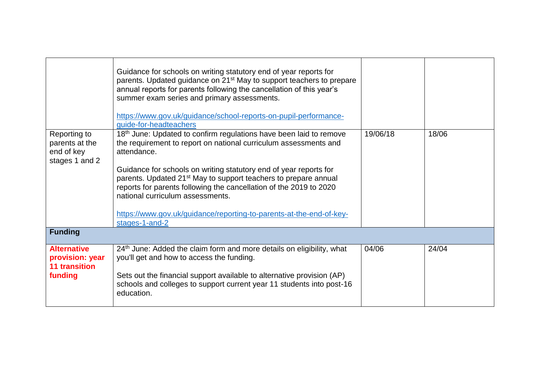|                                                                | Guidance for schools on writing statutory end of year reports for<br>parents. Updated guidance on 21 <sup>st</sup> May to support teachers to prepare<br>annual reports for parents following the cancellation of this year's<br>summer exam series and primary assessments.<br>https://www.gov.uk/guidance/school-reports-on-pupil-performance-<br>guide-for-headteachers |          |       |
|----------------------------------------------------------------|----------------------------------------------------------------------------------------------------------------------------------------------------------------------------------------------------------------------------------------------------------------------------------------------------------------------------------------------------------------------------|----------|-------|
| Reporting to<br>parents at the<br>end of key<br>stages 1 and 2 | 18th June: Updated to confirm regulations have been laid to remove<br>the requirement to report on national curriculum assessments and<br>attendance.                                                                                                                                                                                                                      | 19/06/18 | 18/06 |
|                                                                | Guidance for schools on writing statutory end of year reports for<br>parents. Updated 21 <sup>st</sup> May to support teachers to prepare annual<br>reports for parents following the cancellation of the 2019 to 2020<br>national curriculum assessments.                                                                                                                 |          |       |
|                                                                | https://www.gov.uk/guidance/reporting-to-parents-at-the-end-of-key-<br>stages-1-and-2                                                                                                                                                                                                                                                                                      |          |       |
| <b>Funding</b>                                                 |                                                                                                                                                                                                                                                                                                                                                                            |          |       |
| <b>Alternative</b><br>provision: year<br><b>11 transition</b>  | 24 <sup>th</sup> June: Added the claim form and more details on eligibility, what<br>you'll get and how to access the funding.                                                                                                                                                                                                                                             | 04/06    | 24/04 |
| funding                                                        | Sets out the financial support available to alternative provision (AP)<br>schools and colleges to support current year 11 students into post-16<br>education.                                                                                                                                                                                                              |          |       |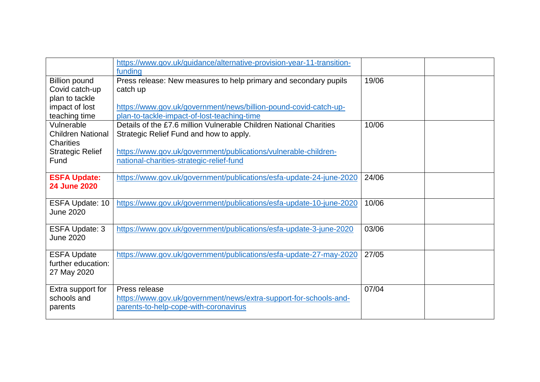|                          | https://www.gov.uk/guidance/alternative-provision-year-11-transition- |       |  |
|--------------------------|-----------------------------------------------------------------------|-------|--|
|                          | funding                                                               |       |  |
| <b>Billion pound</b>     | Press release: New measures to help primary and secondary pupils      | 19/06 |  |
| Covid catch-up           | catch up                                                              |       |  |
| plan to tackle           |                                                                       |       |  |
| impact of lost           | https://www.gov.uk/government/news/billion-pound-covid-catch-up-      |       |  |
| teaching time            | plan-to-tackle-impact-of-lost-teaching-time                           |       |  |
| Vulnerable               | Details of the £7.6 million Vulnerable Children National Charities    | 10/06 |  |
| <b>Children National</b> | Strategic Relief Fund and how to apply.                               |       |  |
| <b>Charities</b>         |                                                                       |       |  |
| <b>Strategic Relief</b>  | https://www.gov.uk/government/publications/vulnerable-children-       |       |  |
| Fund                     | national-charities-strategic-relief-fund                              |       |  |
|                          |                                                                       |       |  |
| <b>ESFA Update:</b>      | https://www.gov.uk/government/publications/esfa-update-24-june-2020   | 24/06 |  |
| <b>24 June 2020</b>      |                                                                       |       |  |
| ESFA Update: 10          | https://www.gov.uk/government/publications/esfa-update-10-june-2020   | 10/06 |  |
| <b>June 2020</b>         |                                                                       |       |  |
|                          |                                                                       |       |  |
| <b>ESFA Update: 3</b>    | https://www.gov.uk/government/publications/esfa-update-3-june-2020    | 03/06 |  |
| <b>June 2020</b>         |                                                                       |       |  |
|                          |                                                                       |       |  |
| <b>ESFA Update</b>       | https://www.gov.uk/government/publications/esfa-update-27-may-2020    | 27/05 |  |
| further education:       |                                                                       |       |  |
| 27 May 2020              |                                                                       |       |  |
|                          |                                                                       |       |  |
| Extra support for        | Press release                                                         | 07/04 |  |
| schools and              | https://www.gov.uk/government/news/extra-support-for-schools-and-     |       |  |
| parents                  | parents-to-help-cope-with-coronavirus                                 |       |  |
|                          |                                                                       |       |  |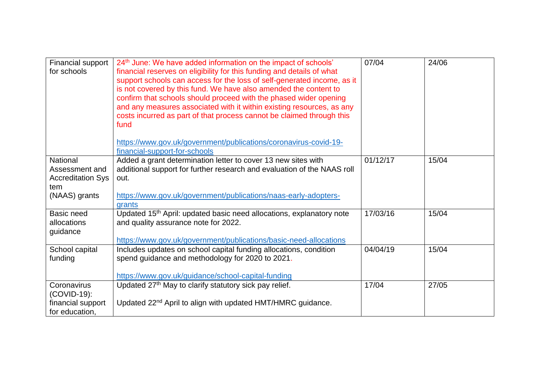| Financial support<br>for schools                                               | 24 <sup>th</sup> June: We have added information on the impact of schools'<br>financial reserves on eligibility for this funding and details of what<br>support schools can access for the loss of self-generated income, as it<br>is not covered by this fund. We have also amended the content to<br>confirm that schools should proceed with the phased wider opening<br>and any measures associated with it within existing resources, as any<br>costs incurred as part of that process cannot be claimed through this<br>fund | 07/04    | 24/06 |
|--------------------------------------------------------------------------------|------------------------------------------------------------------------------------------------------------------------------------------------------------------------------------------------------------------------------------------------------------------------------------------------------------------------------------------------------------------------------------------------------------------------------------------------------------------------------------------------------------------------------------|----------|-------|
|                                                                                | https://www.gov.uk/government/publications/coronavirus-covid-19-<br>financial-support-for-schools                                                                                                                                                                                                                                                                                                                                                                                                                                  |          |       |
| National<br>Assessment and<br><b>Accreditation Sys</b><br>tem<br>(NAAS) grants | Added a grant determination letter to cover 13 new sites with<br>additional support for further research and evaluation of the NAAS roll<br>out.<br>https://www.gov.uk/government/publications/naas-early-adopters-                                                                                                                                                                                                                                                                                                                | 01/12/17 | 15/04 |
| Basic need<br>allocations<br>guidance                                          | grants<br>Updated 15 <sup>th</sup> April: updated basic need allocations, explanatory note<br>and quality assurance note for 2022.<br>https://www.gov.uk/government/publications/basic-need-allocations                                                                                                                                                                                                                                                                                                                            | 17/03/16 | 15/04 |
| School capital<br>funding                                                      | Includes updates on school capital funding allocations, condition<br>spend guidance and methodology for 2020 to 2021.<br>https://www.gov.uk/guidance/school-capital-funding                                                                                                                                                                                                                                                                                                                                                        | 04/04/19 | 15/04 |
| Coronavirus<br>(COVID-19):<br>financial support<br>for education,              | Updated 27 <sup>th</sup> May to clarify statutory sick pay relief.<br>Updated 22 <sup>nd</sup> April to align with updated HMT/HMRC guidance.                                                                                                                                                                                                                                                                                                                                                                                      | 17/04    | 27/05 |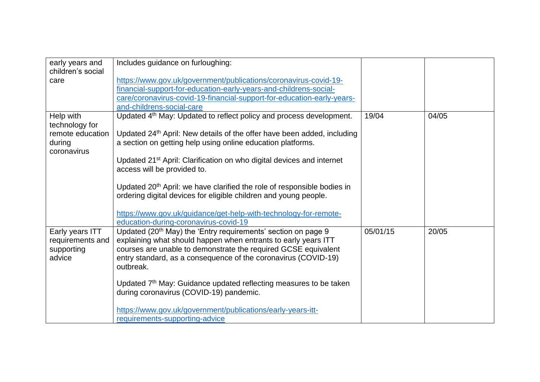| early years and   | Includes guidance on furloughing:                                                   |          |       |
|-------------------|-------------------------------------------------------------------------------------|----------|-------|
| children's social |                                                                                     |          |       |
| care              | https://www.gov.uk/government/publications/coronavirus-covid-19-                    |          |       |
|                   | financial-support-for-education-early-years-and-childrens-social-                   |          |       |
|                   | care/coronavirus-covid-19-financial-support-for-education-early-years-              |          |       |
|                   | and-childrens-social-care                                                           |          |       |
| Help with         | Updated 4 <sup>th</sup> May: Updated to reflect policy and process development.     | 19/04    | 04/05 |
| technology for    |                                                                                     |          |       |
| remote education  | Updated 24 <sup>th</sup> April: New details of the offer have been added, including |          |       |
| during            | a section on getting help using online education platforms.                         |          |       |
| coronavirus       |                                                                                     |          |       |
|                   | Updated 21 <sup>st</sup> April: Clarification on who digital devices and internet   |          |       |
|                   | access will be provided to.                                                         |          |       |
|                   |                                                                                     |          |       |
|                   | Updated 20 <sup>th</sup> April: we have clarified the role of responsible bodies in |          |       |
|                   | ordering digital devices for eligible children and young people.                    |          |       |
|                   |                                                                                     |          |       |
|                   | https://www.gov.uk/guidance/get-help-with-technology-for-remote-                    |          |       |
|                   | education-during-coronavirus-covid-19                                               |          |       |
| Early years ITT   | Updated (20 <sup>th</sup> May) the 'Entry requirements' section on page 9           | 05/01/15 | 20/05 |
| requirements and  | explaining what should happen when entrants to early years ITT                      |          |       |
| supporting        | courses are unable to demonstrate the required GCSE equivalent                      |          |       |
| advice            | entry standard, as a consequence of the coronavirus (COVID-19)                      |          |       |
|                   | outbreak.                                                                           |          |       |
|                   |                                                                                     |          |       |
|                   | Updated 7 <sup>th</sup> May: Guidance updated reflecting measures to be taken       |          |       |
|                   | during coronavirus (COVID-19) pandemic.                                             |          |       |
|                   |                                                                                     |          |       |
|                   | https://www.gov.uk/government/publications/early-years-itt-                         |          |       |
|                   | requirements-supporting-advice                                                      |          |       |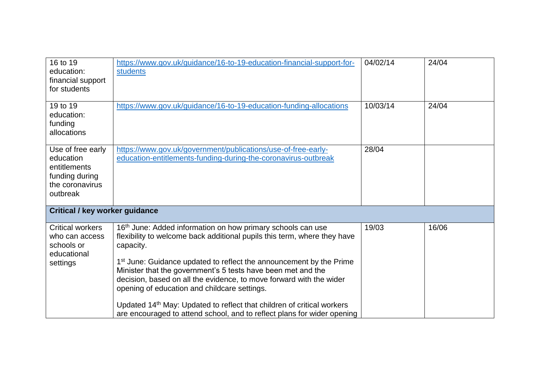| 16 to 19<br>education:<br>financial support<br>for students                                     | https://www.gov.uk/guidance/16-to-19-education-financial-support-for-<br>students                                                                                                                                                                                                                                                                                                                                                                                                                                                                                                                           | 04/02/14 | 24/04 |
|-------------------------------------------------------------------------------------------------|-------------------------------------------------------------------------------------------------------------------------------------------------------------------------------------------------------------------------------------------------------------------------------------------------------------------------------------------------------------------------------------------------------------------------------------------------------------------------------------------------------------------------------------------------------------------------------------------------------------|----------|-------|
| 19 to 19<br>education:<br>funding<br>allocations                                                | https://www.gov.uk/guidance/16-to-19-education-funding-allocations                                                                                                                                                                                                                                                                                                                                                                                                                                                                                                                                          | 10/03/14 | 24/04 |
| Use of free early<br>education<br>entitlements<br>funding during<br>the coronavirus<br>outbreak | https://www.gov.uk/government/publications/use-of-free-early-<br>education-entitlements-funding-during-the-coronavirus-outbreak                                                                                                                                                                                                                                                                                                                                                                                                                                                                             | 28/04    |       |
| <b>Critical / key worker guidance</b>                                                           |                                                                                                                                                                                                                                                                                                                                                                                                                                                                                                                                                                                                             |          |       |
| <b>Critical workers</b><br>who can access<br>schools or<br>educational<br>settings              | 16 <sup>th</sup> June: Added information on how primary schools can use<br>flexibility to welcome back additional pupils this term, where they have<br>capacity.<br>1 <sup>st</sup> June: Guidance updated to reflect the announcement by the Prime<br>Minister that the government's 5 tests have been met and the<br>decision, based on all the evidence, to move forward with the wider<br>opening of education and childcare settings.<br>Updated 14 <sup>th</sup> May: Updated to reflect that children of critical workers<br>are encouraged to attend school, and to reflect plans for wider opening | 19/03    | 16/06 |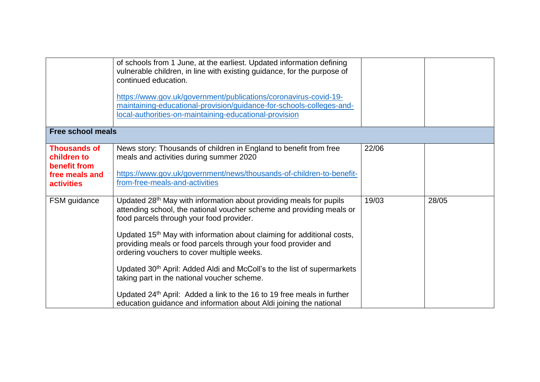|                                                                                           | of schools from 1 June, at the earliest. Updated information defining<br>vulnerable children, in line with existing guidance, for the purpose of<br>continued education.                                                                                                                                                                                                                                                                                                                                                                                                                                                                                                                                   |       |       |
|-------------------------------------------------------------------------------------------|------------------------------------------------------------------------------------------------------------------------------------------------------------------------------------------------------------------------------------------------------------------------------------------------------------------------------------------------------------------------------------------------------------------------------------------------------------------------------------------------------------------------------------------------------------------------------------------------------------------------------------------------------------------------------------------------------------|-------|-------|
|                                                                                           | https://www.gov.uk/government/publications/coronavirus-covid-19-<br>maintaining-educational-provision/guidance-for-schools-colleges-and-<br>local-authorities-on-maintaining-educational-provision                                                                                                                                                                                                                                                                                                                                                                                                                                                                                                         |       |       |
| <b>Free school meals</b>                                                                  |                                                                                                                                                                                                                                                                                                                                                                                                                                                                                                                                                                                                                                                                                                            |       |       |
| <b>Thousands of</b><br>children to<br>benefit from<br>free meals and<br><b>activities</b> | News story: Thousands of children in England to benefit from free<br>meals and activities during summer 2020<br>https://www.gov.uk/government/news/thousands-of-children-to-benefit-<br>from-free-meals-and-activities                                                                                                                                                                                                                                                                                                                                                                                                                                                                                     | 22/06 |       |
| FSM guidance                                                                              | Updated 28 <sup>th</sup> May with information about providing meals for pupils<br>attending school, the national voucher scheme and providing meals or<br>food parcels through your food provider.<br>Updated 15 <sup>th</sup> May with information about claiming for additional costs,<br>providing meals or food parcels through your food provider and<br>ordering vouchers to cover multiple weeks.<br>Updated 30 <sup>th</sup> April: Added Aldi and McColl's to the list of supermarkets<br>taking part in the national voucher scheme.<br>Updated 24 <sup>th</sup> April: Added a link to the 16 to 19 free meals in further<br>education guidance and information about Aldi joining the national | 19/03 | 28/05 |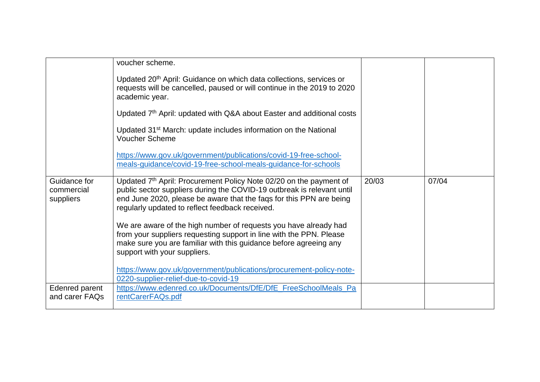|                                  | voucher scheme.<br>Updated 20 <sup>th</sup> April: Guidance on which data collections, services or<br>requests will be cancelled, paused or will continue in the 2019 to 2020<br>academic year.<br>Updated 7 <sup>th</sup> April: updated with Q&A about Easter and additional costs<br>Updated 31 <sup>st</sup> March: update includes information on the National<br><b>Voucher Scheme</b><br>https://www.gov.uk/government/publications/covid-19-free-school-<br>meals-guidance/covid-19-free-school-meals-guidance-for-schools |       |       |
|----------------------------------|------------------------------------------------------------------------------------------------------------------------------------------------------------------------------------------------------------------------------------------------------------------------------------------------------------------------------------------------------------------------------------------------------------------------------------------------------------------------------------------------------------------------------------|-------|-------|
| Guidance for<br>commercial       | Updated 7 <sup>th</sup> April: Procurement Policy Note 02/20 on the payment of<br>public sector suppliers during the COVID-19 outbreak is relevant until                                                                                                                                                                                                                                                                                                                                                                           | 20/03 | 07/04 |
| suppliers                        | end June 2020, please be aware that the faqs for this PPN are being<br>regularly updated to reflect feedback received.                                                                                                                                                                                                                                                                                                                                                                                                             |       |       |
|                                  | We are aware of the high number of requests you have already had<br>from your suppliers requesting support in line with the PPN. Please<br>make sure you are familiar with this guidance before agreeing any<br>support with your suppliers.                                                                                                                                                                                                                                                                                       |       |       |
|                                  | https://www.gov.uk/government/publications/procurement-policy-note-<br>0220-supplier-relief-due-to-covid-19                                                                                                                                                                                                                                                                                                                                                                                                                        |       |       |
| Edenred parent<br>and carer FAQs | https://www.edenred.co.uk/Documents/DfE/DfE_FreeSchoolMeals_Pa<br>rentCarerFAQs.pdf                                                                                                                                                                                                                                                                                                                                                                                                                                                |       |       |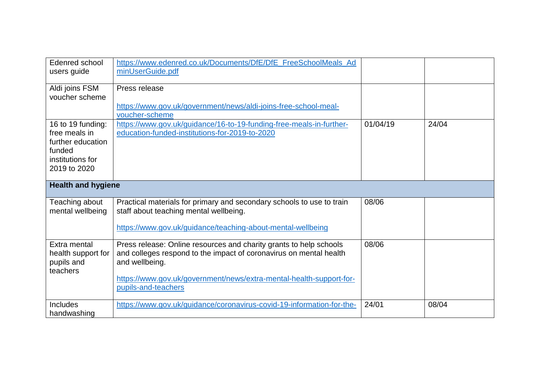| Edenred school<br>users guide                                                                         | https://www.edenred.co.uk/Documents/DfE/DfE_FreeSchoolMeals_Ad<br>minUserGuide.pdf                                                                                                                                                                       |          |       |
|-------------------------------------------------------------------------------------------------------|----------------------------------------------------------------------------------------------------------------------------------------------------------------------------------------------------------------------------------------------------------|----------|-------|
| Aldi joins FSM<br>voucher scheme                                                                      | Press release<br>https://www.gov.uk/government/news/aldi-joins-free-school-meal-                                                                                                                                                                         |          |       |
| 16 to 19 funding:<br>free meals in<br>further education<br>funded<br>institutions for<br>2019 to 2020 | voucher-scheme<br>https://www.gov.uk/guidance/16-to-19-funding-free-meals-in-further-<br>education-funded-institutions-for-2019-to-2020                                                                                                                  | 01/04/19 | 24/04 |
| <b>Health and hygiene</b>                                                                             |                                                                                                                                                                                                                                                          |          |       |
| Teaching about<br>mental wellbeing                                                                    | Practical materials for primary and secondary schools to use to train<br>staff about teaching mental wellbeing.<br>https://www.gov.uk/guidance/teaching-about-mental-wellbeing                                                                           | 08/06    |       |
| Extra mental<br>health support for<br>pupils and<br>teachers                                          | Press release: Online resources and charity grants to help schools<br>and colleges respond to the impact of coronavirus on mental health<br>and wellbeing.<br>https://www.gov.uk/government/news/extra-mental-health-support-for-<br>pupils-and-teachers | 08/06    |       |
| <b>Includes</b><br>handwashing                                                                        | https://www.gov.uk/guidance/coronavirus-covid-19-information-for-the-                                                                                                                                                                                    | 24/01    | 08/04 |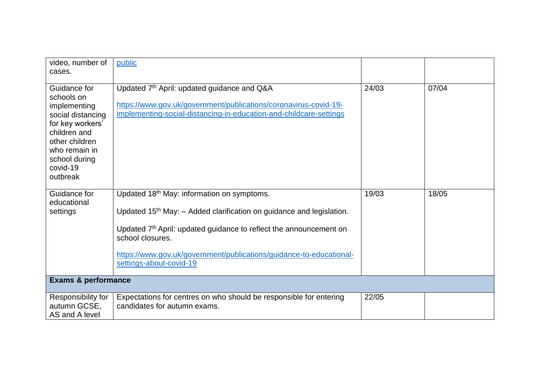| video, number of<br>cases.                                                                                                                                                      | public                                                                                                                                                                                                                                                                                                                                             |       |       |
|---------------------------------------------------------------------------------------------------------------------------------------------------------------------------------|----------------------------------------------------------------------------------------------------------------------------------------------------------------------------------------------------------------------------------------------------------------------------------------------------------------------------------------------------|-------|-------|
| Guidance for<br>schools on<br>implementing<br>social distancing<br>for key workers'<br>children and<br>other children<br>who remain in<br>school during<br>covid-19<br>outbreak | Updated 7th April: updated guidance and Q&A<br>https://www.gov.uk/government/publications/coronavirus-covid-19-<br>implementing-social-distancing-in-education-and-childcare-settings                                                                                                                                                              | 24/03 | 07/04 |
| Guidance for<br>educational<br>settings                                                                                                                                         | Updated 18 <sup>th</sup> May: information on symptoms.<br>Updated 15 <sup>th</sup> May: - Added clarification on guidance and legislation.<br>Updated 7 <sup>th</sup> April: updated guidance to reflect the announcement on<br>school closures.<br>https://www.gov.uk/government/publications/guidance-to-educational-<br>settings-about-covid-19 | 19/03 | 18/05 |
| <b>Exams &amp; performance</b>                                                                                                                                                  |                                                                                                                                                                                                                                                                                                                                                    |       |       |
| Responsibility for<br>autumn GCSE,<br>AS and A level                                                                                                                            | Expectations for centres on who should be responsible for entering<br>candidates for autumn exams.                                                                                                                                                                                                                                                 | 22/05 |       |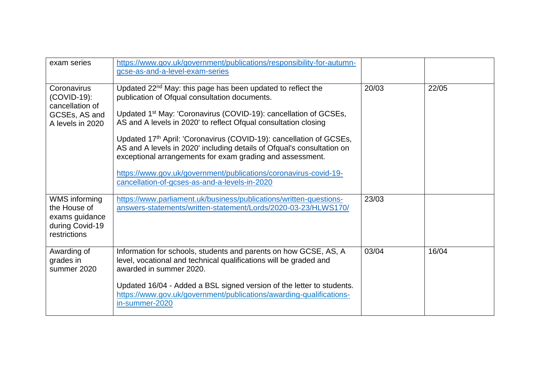| exam series                                                                        | https://www.gov.uk/government/publications/responsibility-for-autumn-<br>gcse-as-and-a-level-exam-series                                                                                                                                                                                                                                                                                                                                                                                                                                                                                                       |       |       |
|------------------------------------------------------------------------------------|----------------------------------------------------------------------------------------------------------------------------------------------------------------------------------------------------------------------------------------------------------------------------------------------------------------------------------------------------------------------------------------------------------------------------------------------------------------------------------------------------------------------------------------------------------------------------------------------------------------|-------|-------|
| Coronavirus<br>(COVID-19):<br>cancellation of<br>GCSEs, AS and<br>A levels in 2020 | Updated 22 <sup>nd</sup> May: this page has been updated to reflect the<br>publication of Ofqual consultation documents.<br>Updated 1 <sup>st</sup> May: 'Coronavirus (COVID-19): cancellation of GCSEs,<br>AS and A levels in 2020' to reflect Ofqual consultation closing<br>Updated 17th April: 'Coronavirus (COVID-19): cancellation of GCSEs,<br>AS and A levels in 2020' including details of Ofqual's consultation on<br>exceptional arrangements for exam grading and assessment.<br>https://www.gov.uk/government/publications/coronavirus-covid-19-<br>cancellation-of-gcses-as-and-a-levels-in-2020 | 20/03 | 22/05 |
| WMS informing<br>the House of<br>exams guidance<br>during Covid-19<br>restrictions | https://www.parliament.uk/business/publications/written-questions-<br>answers-statements/written-statement/Lords/2020-03-23/HLWS170/                                                                                                                                                                                                                                                                                                                                                                                                                                                                           | 23/03 |       |
| Awarding of<br>grades in<br>summer 2020                                            | Information for schools, students and parents on how GCSE, AS, A<br>level, vocational and technical qualifications will be graded and<br>awarded in summer 2020.<br>Updated 16/04 - Added a BSL signed version of the letter to students.<br>https://www.gov.uk/government/publications/awarding-qualifications-<br>in-summer-2020                                                                                                                                                                                                                                                                             | 03/04 | 16/04 |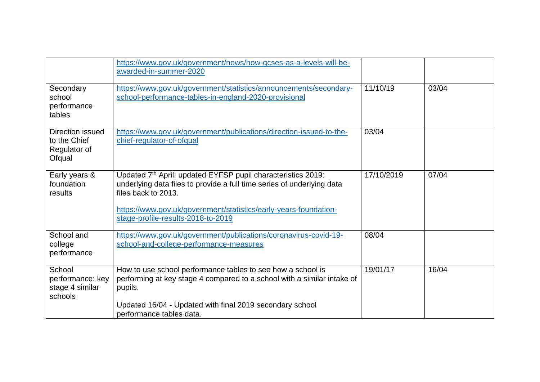|                                                            | https://www.gov.uk/government/news/how-gcses-as-a-levels-will-be-<br>awarded-in-summer-2020                                                                                                                                                                             |            |       |
|------------------------------------------------------------|-------------------------------------------------------------------------------------------------------------------------------------------------------------------------------------------------------------------------------------------------------------------------|------------|-------|
| Secondary<br>school<br>performance<br>tables               | https://www.gov.uk/government/statistics/announcements/secondary-<br>school-performance-tables-in-england-2020-provisional                                                                                                                                              | 11/10/19   | 03/04 |
| Direction issued<br>to the Chief<br>Regulator of<br>Ofqual | https://www.gov.uk/government/publications/direction-issued-to-the-<br>chief-regulator-of-ofqual                                                                                                                                                                        | 03/04      |       |
| Early years &<br>foundation<br>results                     | Updated 7th April: updated EYFSP pupil characteristics 2019:<br>underlying data files to provide a full time series of underlying data<br>files back to 2013.<br>https://www.gov.uk/government/statistics/early-years-foundation-<br>stage-profile-results-2018-to-2019 | 17/10/2019 | 07/04 |
| School and<br>college<br>performance                       | https://www.gov.uk/government/publications/coronavirus-covid-19-<br>school-and-college-performance-measures                                                                                                                                                             | 08/04      |       |
| School<br>performance: key<br>stage 4 similar<br>schools   | How to use school performance tables to see how a school is<br>performing at key stage 4 compared to a school with a similar intake of<br>pupils.<br>Updated 16/04 - Updated with final 2019 secondary school<br>performance tables data.                               | 19/01/17   | 16/04 |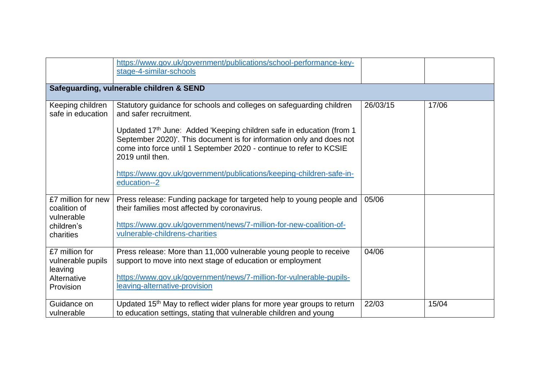|                    | https://www.gov.uk/government/publications/school-performance-key-                 |          |       |
|--------------------|------------------------------------------------------------------------------------|----------|-------|
|                    | stage-4-similar-schools                                                            |          |       |
|                    |                                                                                    |          |       |
|                    | Safeguarding, vulnerable children & SEND                                           |          |       |
|                    |                                                                                    |          |       |
| Keeping children   | Statutory guidance for schools and colleges on safeguarding children               | 26/03/15 | 17/06 |
| safe in education  | and safer recruitment.                                                             |          |       |
|                    |                                                                                    |          |       |
|                    | Updated 17th June: Added 'Keeping children safe in education (from 1               |          |       |
|                    | September 2020)'. This document is for information only and does not               |          |       |
|                    | come into force until 1 September 2020 - continue to refer to KCSIE                |          |       |
|                    | 2019 until then.                                                                   |          |       |
|                    | https://www.gov.uk/government/publications/keeping-children-safe-in-               |          |       |
|                    | education--2                                                                       |          |       |
|                    |                                                                                    |          |       |
| £7 million for new | Press release: Funding package for targeted help to young people and               | 05/06    |       |
| coalition of       | their families most affected by coronavirus.                                       |          |       |
| vulnerable         |                                                                                    |          |       |
| children's         | https://www.gov.uk/government/news/7-million-for-new-coalition-of-                 |          |       |
| charities          | vulnerable-childrens-charities                                                     |          |       |
|                    |                                                                                    |          |       |
| £7 million for     | Press release: More than 11,000 vulnerable young people to receive                 | 04/06    |       |
| vulnerable pupils  | support to move into next stage of education or employment                         |          |       |
| leaving            |                                                                                    |          |       |
| Alternative        | https://www.gov.uk/government/news/7-million-for-vulnerable-pupils-                |          |       |
| Provision          | leaving-alternative-provision                                                      |          |       |
|                    |                                                                                    |          |       |
| Guidance on        | Updated 15 <sup>th</sup> May to reflect wider plans for more year groups to return | 22/03    | 15/04 |
| vulnerable         | to education settings, stating that vulnerable children and young                  |          |       |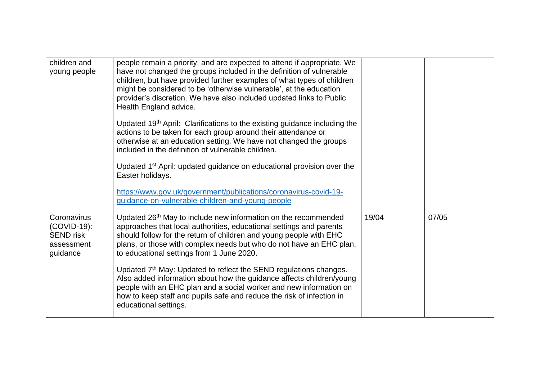| children and<br>young people                                             | people remain a priority, and are expected to attend if appropriate. We<br>have not changed the groups included in the definition of vulnerable<br>children, but have provided further examples of what types of children<br>might be considered to be 'otherwise vulnerable', at the education<br>provider's discretion. We have also included updated links to Public<br>Health England advice. |       |       |
|--------------------------------------------------------------------------|---------------------------------------------------------------------------------------------------------------------------------------------------------------------------------------------------------------------------------------------------------------------------------------------------------------------------------------------------------------------------------------------------|-------|-------|
|                                                                          | Updated 19 <sup>th</sup> April: Clarifications to the existing guidance including the<br>actions to be taken for each group around their attendance or<br>otherwise at an education setting. We have not changed the groups<br>included in the definition of vulnerable children.                                                                                                                 |       |       |
|                                                                          | Updated 1 <sup>st</sup> April: updated guidance on educational provision over the<br>Easter holidays.                                                                                                                                                                                                                                                                                             |       |       |
|                                                                          | https://www.gov.uk/government/publications/coronavirus-covid-19-<br>guidance-on-vulnerable-children-and-young-people                                                                                                                                                                                                                                                                              |       |       |
| Coronavirus<br>(COVID-19):<br><b>SEND</b> risk<br>assessment<br>guidance | Updated 26 <sup>th</sup> May to include new information on the recommended<br>approaches that local authorities, educational settings and parents<br>should follow for the return of children and young people with EHC<br>plans, or those with complex needs but who do not have an EHC plan,<br>to educational settings from 1 June 2020.                                                       | 19/04 | 07/05 |
|                                                                          | Updated 7 <sup>th</sup> May: Updated to reflect the SEND regulations changes.<br>Also added information about how the guidance affects children/young<br>people with an EHC plan and a social worker and new information on<br>how to keep staff and pupils safe and reduce the risk of infection in<br>educational settings.                                                                     |       |       |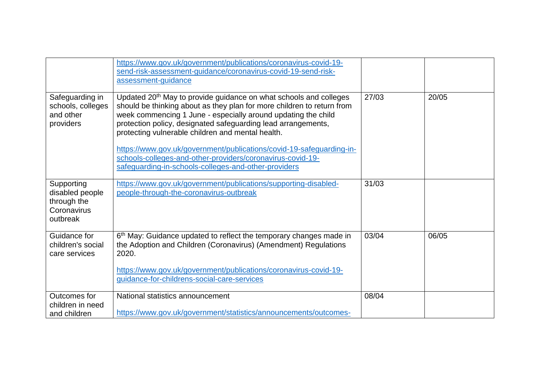|                                                                         | https://www.gov.uk/government/publications/coronavirus-covid-19-<br>send-risk-assessment-guidance/coronavirus-covid-19-send-risk-<br>assessment-guidance                                                                                                                                                                                       |       |       |
|-------------------------------------------------------------------------|------------------------------------------------------------------------------------------------------------------------------------------------------------------------------------------------------------------------------------------------------------------------------------------------------------------------------------------------|-------|-------|
| Safeguarding in<br>schools, colleges<br>and other<br>providers          | Updated 20 <sup>th</sup> May to provide guidance on what schools and colleges<br>should be thinking about as they plan for more children to return from<br>week commencing 1 June - especially around updating the child<br>protection policy, designated safeguarding lead arrangements,<br>protecting vulnerable children and mental health. | 27/03 | 20/05 |
|                                                                         | https://www.gov.uk/government/publications/covid-19-safeguarding-in-<br>schools-colleges-and-other-providers/coronavirus-covid-19-<br>safeguarding-in-schools-colleges-and-other-providers                                                                                                                                                     |       |       |
| Supporting<br>disabled people<br>through the<br>Coronavirus<br>outbreak | https://www.gov.uk/government/publications/supporting-disabled-<br>people-through-the-coronavirus-outbreak                                                                                                                                                                                                                                     | 31/03 |       |
| Guidance for<br>children's social<br>care services                      | 6 <sup>th</sup> May: Guidance updated to reflect the temporary changes made in<br>the Adoption and Children (Coronavirus) (Amendment) Regulations<br>2020.<br>https://www.gov.uk/government/publications/coronavirus-covid-19-<br>guidance-for-childrens-social-care-services                                                                  | 03/04 | 06/05 |
| Outcomes for                                                            | National statistics announcement                                                                                                                                                                                                                                                                                                               | 08/04 |       |
| children in need<br>and children                                        | https://www.gov.uk/government/statistics/announcements/outcomes-                                                                                                                                                                                                                                                                               |       |       |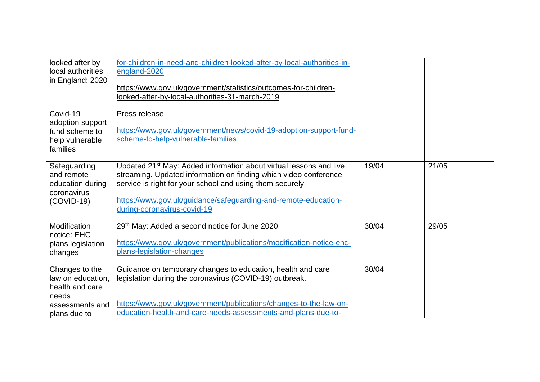| looked after by<br>local authorities<br>in England: 2020                                           | for-children-in-need-and-children-looked-after-by-local-authorities-in-<br>england-2020<br>https://www.gov.uk/government/statistics/outcomes-for-children-<br>looked-after-by-local-authorities-31-march-2019                                                                                                    |       |       |
|----------------------------------------------------------------------------------------------------|------------------------------------------------------------------------------------------------------------------------------------------------------------------------------------------------------------------------------------------------------------------------------------------------------------------|-------|-------|
| Covid-19<br>adoption support<br>fund scheme to<br>help vulnerable<br>families                      | Press release<br>https://www.gov.uk/government/news/covid-19-adoption-support-fund-<br>scheme-to-help-vulnerable-families                                                                                                                                                                                        |       |       |
| Safeguarding<br>and remote<br>education during<br>coronavirus<br>$(COVID-19)$                      | Updated 21 <sup>st</sup> May: Added information about virtual lessons and live<br>streaming. Updated information on finding which video conference<br>service is right for your school and using them securely.<br>https://www.gov.uk/guidance/safeguarding-and-remote-education-<br>during-coronavirus-covid-19 | 19/04 | 21/05 |
| Modification<br>notice: EHC<br>plans legislation<br>changes                                        | 29th May: Added a second notice for June 2020.<br>https://www.gov.uk/government/publications/modification-notice-ehc-<br>plans-legislation-changes                                                                                                                                                               | 30/04 | 29/05 |
| Changes to the<br>law on education,<br>health and care<br>needs<br>assessments and<br>plans due to | Guidance on temporary changes to education, health and care<br>legislation during the coronavirus (COVID-19) outbreak.<br>https://www.gov.uk/government/publications/changes-to-the-law-on-<br>education-health-and-care-needs-assessments-and-plans-due-to-                                                     | 30/04 |       |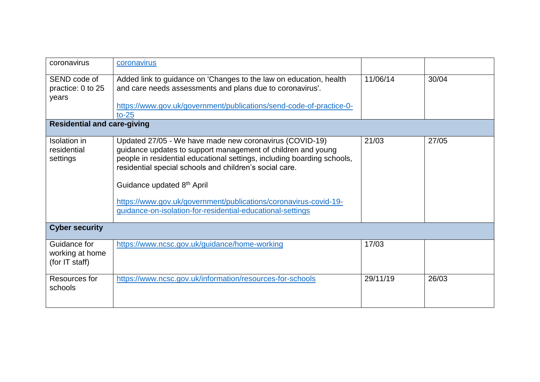| coronavirus                                       | coronavirus                                                                                                                                                                                                                                                                                                                                                                                                                   |          |       |
|---------------------------------------------------|-------------------------------------------------------------------------------------------------------------------------------------------------------------------------------------------------------------------------------------------------------------------------------------------------------------------------------------------------------------------------------------------------------------------------------|----------|-------|
| SEND code of<br>practice: 0 to 25<br>years        | Added link to guidance on 'Changes to the law on education, health<br>and care needs assessments and plans due to coronavirus'.<br>https://www.gov.uk/government/publications/send-code-of-practice-0-<br>$to-25$                                                                                                                                                                                                             | 11/06/14 | 30/04 |
| <b>Residential and care-giving</b>                |                                                                                                                                                                                                                                                                                                                                                                                                                               |          |       |
| Isolation in<br>residential<br>settings           | Updated 27/05 - We have made new coronavirus (COVID-19)<br>guidance updates to support management of children and young<br>people in residential educational settings, including boarding schools,<br>residential special schools and children's social care.<br>Guidance updated 8th April<br>https://www.gov.uk/government/publications/coronavirus-covid-19-<br>guidance-on-isolation-for-residential-educational-settings | 21/03    | 27/05 |
| <b>Cyber security</b>                             |                                                                                                                                                                                                                                                                                                                                                                                                                               |          |       |
| Guidance for<br>working at home<br>(for IT staff) | https://www.ncsc.gov.uk/guidance/home-working                                                                                                                                                                                                                                                                                                                                                                                 | 17/03    |       |
| Resources for<br>schools                          | https://www.ncsc.gov.uk/information/resources-for-schools                                                                                                                                                                                                                                                                                                                                                                     | 29/11/19 | 26/03 |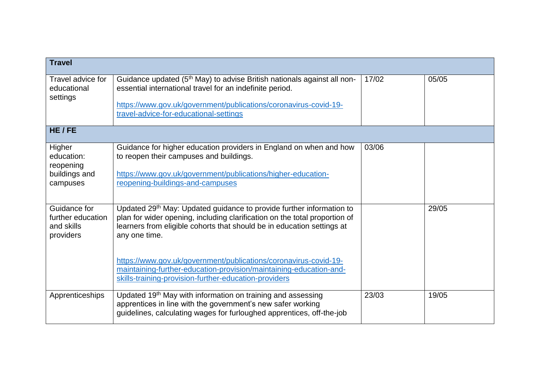| <b>Travel</b>                                                  |                                                                                                                                                                                                                                                                                                                                                                                                                                                              |       |       |
|----------------------------------------------------------------|--------------------------------------------------------------------------------------------------------------------------------------------------------------------------------------------------------------------------------------------------------------------------------------------------------------------------------------------------------------------------------------------------------------------------------------------------------------|-------|-------|
| Travel advice for<br>educational<br>settings                   | Guidance updated (5 <sup>th</sup> May) to advise British nationals against all non-<br>essential international travel for an indefinite period.<br>https://www.gov.uk/government/publications/coronavirus-covid-19-<br>travel-advice-for-educational-settings                                                                                                                                                                                                | 17/02 | 05/05 |
| HE/FE                                                          |                                                                                                                                                                                                                                                                                                                                                                                                                                                              |       |       |
| Higher<br>education:<br>reopening<br>buildings and<br>campuses | Guidance for higher education providers in England on when and how<br>to reopen their campuses and buildings.<br>https://www.gov.uk/government/publications/higher-education-<br>reopening-buildings-and-campuses                                                                                                                                                                                                                                            | 03/06 |       |
| Guidance for<br>further education<br>and skills<br>providers   | Updated 29 <sup>th</sup> May: Updated guidance to provide further information to<br>plan for wider opening, including clarification on the total proportion of<br>learners from eligible cohorts that should be in education settings at<br>any one time.<br>https://www.gov.uk/government/publications/coronavirus-covid-19-<br>maintaining-further-education-provision/maintaining-education-and-<br>skills-training-provision-further-education-providers |       | 29/05 |
| Apprenticeships                                                | Updated 19 <sup>th</sup> May with information on training and assessing<br>apprentices in line with the government's new safer working<br>guidelines, calculating wages for furloughed apprentices, off-the-job                                                                                                                                                                                                                                              | 23/03 | 19/05 |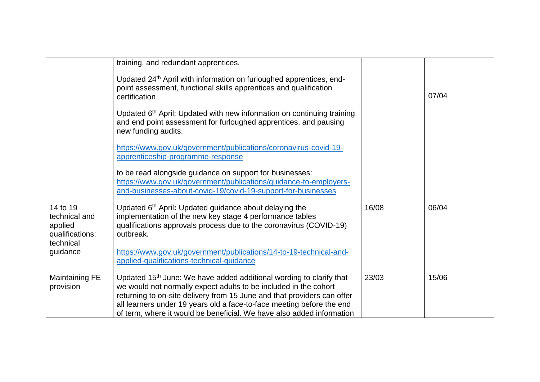|                                                                      | training, and redundant apprentices.<br>Updated 24 <sup>th</sup> April with information on furloughed apprentices, end-<br>point assessment, functional skills apprentices and qualification                                                                                                                                                                                     |       |       |
|----------------------------------------------------------------------|----------------------------------------------------------------------------------------------------------------------------------------------------------------------------------------------------------------------------------------------------------------------------------------------------------------------------------------------------------------------------------|-------|-------|
|                                                                      | certification                                                                                                                                                                                                                                                                                                                                                                    |       | 07/04 |
|                                                                      | Updated 6 <sup>th</sup> April: Updated with new information on continuing training<br>and end point assessment for furloughed apprentices, and pausing<br>new funding audits.                                                                                                                                                                                                    |       |       |
|                                                                      | https://www.gov.uk/government/publications/coronavirus-covid-19-<br>apprenticeship-programme-response                                                                                                                                                                                                                                                                            |       |       |
|                                                                      | to be read alongside guidance on support for businesses:<br>https://www.gov.uk/government/publications/guidance-to-employers-<br>and-businesses-about-covid-19/covid-19-support-for-businesses                                                                                                                                                                                   |       |       |
|                                                                      |                                                                                                                                                                                                                                                                                                                                                                                  |       |       |
| 14 to 19<br>technical and<br>applied<br>qualifications:<br>technical | Updated 6th April: Updated guidance about delaying the<br>implementation of the new key stage 4 performance tables<br>qualifications approvals process due to the coronavirus (COVID-19)<br>outbreak.                                                                                                                                                                            | 16/08 | 06/04 |
| guidance                                                             | https://www.gov.uk/government/publications/14-to-19-technical-and-<br>applied-qualifications-technical-guidance                                                                                                                                                                                                                                                                  |       |       |
| <b>Maintaining FE</b><br>provision                                   | Updated 15 <sup>th</sup> June: We have added additional wording to clarify that<br>we would not normally expect adults to be included in the cohort<br>returning to on-site delivery from 15 June and that providers can offer<br>all learners under 19 years old a face-to-face meeting before the end<br>of term, where it would be beneficial. We have also added information | 23/03 | 15/06 |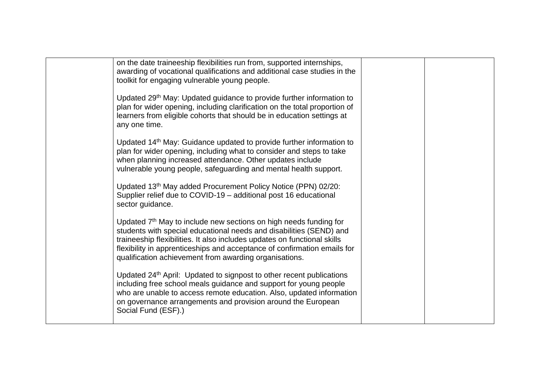| on the date traineeship flexibilities run from, supported internships,<br>awarding of vocational qualifications and additional case studies in the<br>toolkit for engaging vulnerable young people.                                                                                                                                                                    |  |
|------------------------------------------------------------------------------------------------------------------------------------------------------------------------------------------------------------------------------------------------------------------------------------------------------------------------------------------------------------------------|--|
| Updated 29th May: Updated guidance to provide further information to<br>plan for wider opening, including clarification on the total proportion of<br>learners from eligible cohorts that should be in education settings at<br>any one time.                                                                                                                          |  |
| Updated 14 <sup>th</sup> May: Guidance updated to provide further information to<br>plan for wider opening, including what to consider and steps to take<br>when planning increased attendance. Other updates include<br>vulnerable young people, safeguarding and mental health support.                                                                              |  |
| Updated 13th May added Procurement Policy Notice (PPN) 02/20:<br>Supplier relief due to COVID-19 - additional post 16 educational<br>sector guidance.                                                                                                                                                                                                                  |  |
| Updated 7 <sup>th</sup> May to include new sections on high needs funding for<br>students with special educational needs and disabilities (SEND) and<br>traineeship flexibilities. It also includes updates on functional skills<br>flexibility in apprenticeships and acceptance of confirmation emails for<br>qualification achievement from awarding organisations. |  |
| Updated 24 <sup>th</sup> April: Updated to signpost to other recent publications<br>including free school meals guidance and support for young people<br>who are unable to access remote education. Also, updated information<br>on governance arrangements and provision around the European<br>Social Fund (ESF).)                                                   |  |
|                                                                                                                                                                                                                                                                                                                                                                        |  |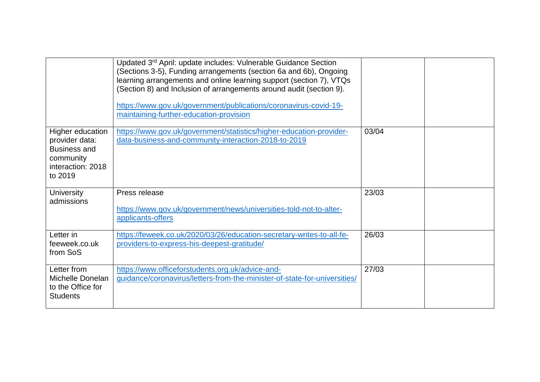|                                                                                                        | Updated 3rd April: update includes: Vulnerable Guidance Section<br>(Sections 3-5), Funding arrangements (section 6a and 6b), Ongoing<br>learning arrangements and online learning support (section 7), VTQs<br>(Section 8) and Inclusion of arrangements around audit (section 9).<br>https://www.gov.uk/government/publications/coronavirus-covid-19-<br>maintaining-further-education-provision |       |  |
|--------------------------------------------------------------------------------------------------------|---------------------------------------------------------------------------------------------------------------------------------------------------------------------------------------------------------------------------------------------------------------------------------------------------------------------------------------------------------------------------------------------------|-------|--|
| Higher education<br>provider data:<br><b>Business and</b><br>community<br>interaction: 2018<br>to 2019 | https://www.gov.uk/government/statistics/higher-education-provider-<br>data-business-and-community-interaction-2018-to-2019                                                                                                                                                                                                                                                                       | 03/04 |  |
| <b>University</b><br>admissions                                                                        | Press release<br>https://www.gov.uk/government/news/universities-told-not-to-alter-<br>applicants-offers                                                                                                                                                                                                                                                                                          | 23/03 |  |
| Letter in<br>feeweek.co.uk<br>from SoS                                                                 | https://feweek.co.uk/2020/03/26/education-secretary-writes-to-all-fe-<br>providers-to-express-his-deepest-gratitude/                                                                                                                                                                                                                                                                              | 26/03 |  |
| Letter from<br>Michelle Donelan<br>to the Office for<br><b>Students</b>                                | https://www.officeforstudents.org.uk/advice-and-<br>quidance/coronavirus/letters-from-the-minister-of-state-for-universities/                                                                                                                                                                                                                                                                     | 27/03 |  |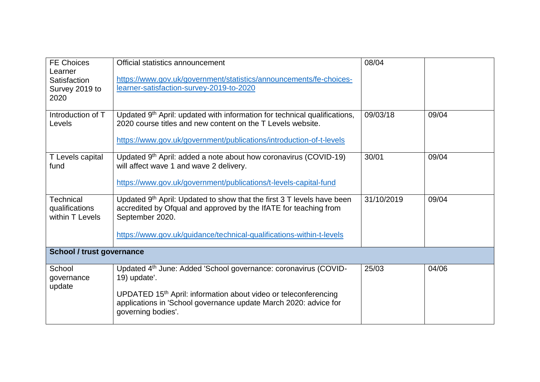| <b>FE Choices</b><br>Learner<br>Satisfaction<br>Survey 2019 to<br>2020 | Official statistics announcement<br>https://www.gov.uk/government/statistics/announcements/fe-choices-<br>learner-satisfaction-survey-2019-to-2020                                                                                                                   | 08/04      |       |  |
|------------------------------------------------------------------------|----------------------------------------------------------------------------------------------------------------------------------------------------------------------------------------------------------------------------------------------------------------------|------------|-------|--|
| Introduction of T<br>Levels                                            | Updated 9 <sup>th</sup> April: updated with information for technical qualifications,<br>2020 course titles and new content on the T Levels website.<br>https://www.gov.uk/government/publications/introduction-of-t-levels                                          | 09/03/18   | 09/04 |  |
| T Levels capital<br>fund                                               | Updated 9th April: added a note about how coronavirus (COVID-19)<br>will affect wave 1 and wave 2 delivery.<br>https://www.gov.uk/government/publications/t-levels-capital-fund                                                                                      | 30/01      | 09/04 |  |
| <b>Technical</b><br>qualifications<br>within T Levels                  | Updated 9 <sup>th</sup> April: Updated to show that the first 3 T levels have been<br>accredited by Ofqual and approved by the IfATE for teaching from<br>September 2020.<br>https://www.gov.uk/guidance/technical-qualifications-within-t-levels                    | 31/10/2019 | 09/04 |  |
| School / trust governance                                              |                                                                                                                                                                                                                                                                      |            |       |  |
| School<br>governance<br>update                                         | Updated 4 <sup>th</sup> June: Added 'School governance: coronavirus (COVID-<br>19) update'.<br>UPDATED 15 <sup>th</sup> April: information about video or teleconferencing<br>applications in 'School governance update March 2020: advice for<br>governing bodies'. | 25/03      | 04/06 |  |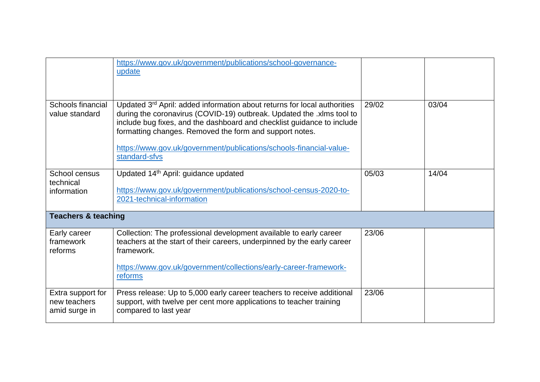|                                                    | https://www.gov.uk/government/publications/school-governance-<br>update                                                                                                                                                                                                                                                                                                                    |       |       |
|----------------------------------------------------|--------------------------------------------------------------------------------------------------------------------------------------------------------------------------------------------------------------------------------------------------------------------------------------------------------------------------------------------------------------------------------------------|-------|-------|
| Schools financial<br>value standard                | Updated 3 <sup>rd</sup> April: added information about returns for local authorities<br>during the coronavirus (COVID-19) outbreak. Updated the .xlms tool to<br>include bug fixes, and the dashboard and checklist guidance to include<br>formatting changes. Removed the form and support notes.<br>https://www.gov.uk/government/publications/schools-financial-value-<br>standard-sfvs | 29/02 | 03/04 |
| School census<br>technical<br>information          | Updated 14th April: guidance updated<br>https://www.gov.uk/government/publications/school-census-2020-to-<br>2021-technical-information                                                                                                                                                                                                                                                    | 05/03 | 14/04 |
| <b>Teachers &amp; teaching</b>                     |                                                                                                                                                                                                                                                                                                                                                                                            |       |       |
| Early career<br>framework<br>reforms               | Collection: The professional development available to early career<br>teachers at the start of their careers, underpinned by the early career<br>framework.<br>https://www.gov.uk/government/collections/early-career-framework-<br>reforms                                                                                                                                                | 23/06 |       |
| Extra support for<br>new teachers<br>amid surge in | Press release: Up to 5,000 early career teachers to receive additional<br>support, with twelve per cent more applications to teacher training<br>compared to last year                                                                                                                                                                                                                     | 23/06 |       |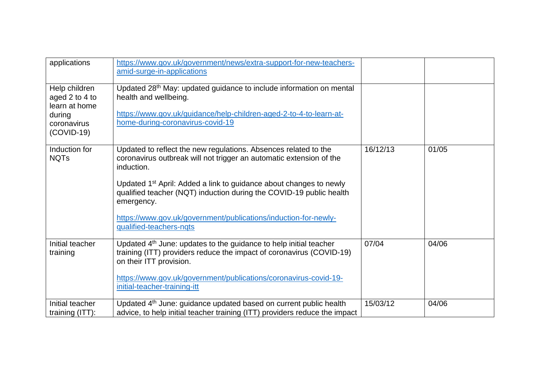| applications                                                                              | https://www.gov.uk/government/news/extra-support-for-new-teachers-<br>amid-surge-in-applications                                                                                                                                                                                                                                                                                                                          |          |       |
|-------------------------------------------------------------------------------------------|---------------------------------------------------------------------------------------------------------------------------------------------------------------------------------------------------------------------------------------------------------------------------------------------------------------------------------------------------------------------------------------------------------------------------|----------|-------|
| Help children<br>aged 2 to 4 to<br>learn at home<br>during<br>coronavirus<br>$(COVID-19)$ | Updated 28 <sup>th</sup> May: updated guidance to include information on mental<br>health and wellbeing.<br>https://www.gov.uk/guidance/help-children-aged-2-to-4-to-learn-at-<br>home-during-coronavirus-covid-19                                                                                                                                                                                                        |          |       |
| Induction for<br><b>NQTs</b>                                                              | Updated to reflect the new regulations. Absences related to the<br>coronavirus outbreak will not trigger an automatic extension of the<br>induction.<br>Updated 1 <sup>st</sup> April: Added a link to guidance about changes to newly<br>qualified teacher (NQT) induction during the COVID-19 public health<br>emergency.<br>https://www.gov.uk/government/publications/induction-for-newly-<br>qualified-teachers-nqts | 16/12/13 | 01/05 |
| Initial teacher<br>training                                                               | Updated 4 <sup>th</sup> June: updates to the guidance to help initial teacher<br>training (ITT) providers reduce the impact of coronavirus (COVID-19)<br>on their ITT provision.<br>https://www.gov.uk/government/publications/coronavirus-covid-19-<br>initial-teacher-training-itt                                                                                                                                      | 07/04    | 04/06 |
| Initial teacher<br>training (ITT):                                                        | Updated 4 <sup>th</sup> June: guidance updated based on current public health<br>advice, to help initial teacher training (ITT) providers reduce the impact                                                                                                                                                                                                                                                               | 15/03/12 | 04/06 |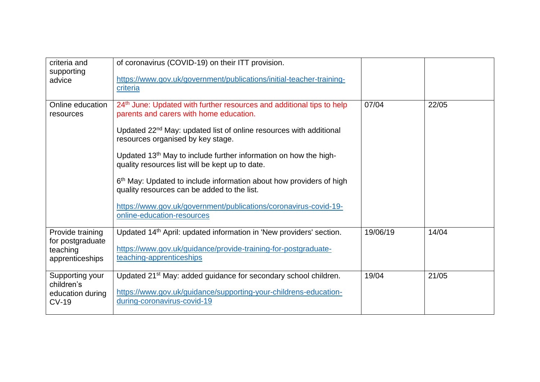| criteria and<br>supporting<br>advice                                | of coronavirus (COVID-19) on their ITT provision.<br>https://www.gov.uk/government/publications/initial-teacher-training-<br>criteria                                                                                                                                                                                                                                                                                                                                                                                                                                                                                      |          |       |
|---------------------------------------------------------------------|----------------------------------------------------------------------------------------------------------------------------------------------------------------------------------------------------------------------------------------------------------------------------------------------------------------------------------------------------------------------------------------------------------------------------------------------------------------------------------------------------------------------------------------------------------------------------------------------------------------------------|----------|-------|
| Online education<br>resources                                       | 24 <sup>th</sup> June: Updated with further resources and additional tips to help<br>parents and carers with home education.<br>Updated 22 <sup>nd</sup> May: updated list of online resources with additional<br>resources organised by key stage.<br>Updated 13 <sup>th</sup> May to include further information on how the high-<br>quality resources list will be kept up to date.<br>6 <sup>th</sup> May: Updated to include information about how providers of high<br>quality resources can be added to the list.<br>https://www.gov.uk/government/publications/coronavirus-covid-19-<br>online-education-resources | 07/04    | 22/05 |
| Provide training<br>for postgraduate<br>teaching<br>apprenticeships | Updated 14 <sup>th</sup> April: updated information in 'New providers' section.<br>https://www.gov.uk/guidance/provide-training-for-postgraduate-<br>teaching-apprenticeships                                                                                                                                                                                                                                                                                                                                                                                                                                              | 19/06/19 | 14/04 |
| Supporting your<br>children's<br>education during<br>$CV-19$        | Updated 21 <sup>st</sup> May: added guidance for secondary school children.<br>https://www.gov.uk/guidance/supporting-your-childrens-education-<br>during-coronavirus-covid-19                                                                                                                                                                                                                                                                                                                                                                                                                                             | 19/04    | 21/05 |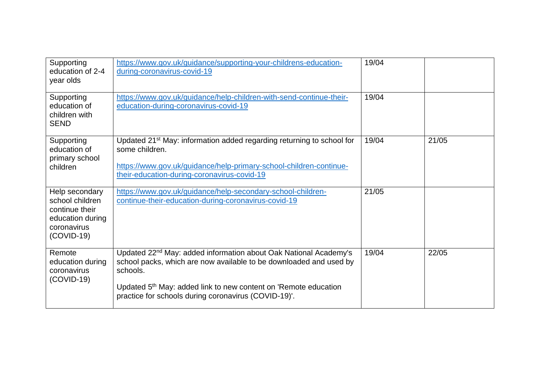| Supporting<br>education of 2-4<br>year olds                                                          | https://www.gov.uk/guidance/supporting-your-childrens-education-<br>during-coronavirus-covid-19                                                                                                                                                                                                       | 19/04 |       |
|------------------------------------------------------------------------------------------------------|-------------------------------------------------------------------------------------------------------------------------------------------------------------------------------------------------------------------------------------------------------------------------------------------------------|-------|-------|
| Supporting<br>education of<br>children with<br><b>SEND</b>                                           | https://www.gov.uk/guidance/help-children-with-send-continue-their-<br>education-during-coronavirus-covid-19                                                                                                                                                                                          | 19/04 |       |
| Supporting<br>education of<br>primary school<br>children                                             | Updated 21 <sup>st</sup> May: information added regarding returning to school for<br>some children.<br>https://www.gov.uk/guidance/help-primary-school-children-continue-<br>their-education-during-coronavirus-covid-19                                                                              | 19/04 | 21/05 |
| Help secondary<br>school children<br>continue their<br>education during<br>coronavirus<br>(COVID-19) | https://www.gov.uk/guidance/help-secondary-school-children-<br>continue-their-education-during-coronavirus-covid-19                                                                                                                                                                                   | 21/05 |       |
| Remote<br>education during<br>coronavirus<br>(COVID-19)                                              | Updated 22 <sup>nd</sup> May: added information about Oak National Academy's<br>school packs, which are now available to be downloaded and used by<br>schools.<br>Updated 5 <sup>th</sup> May: added link to new content on 'Remote education<br>practice for schools during coronavirus (COVID-19)'. | 19/04 | 22/05 |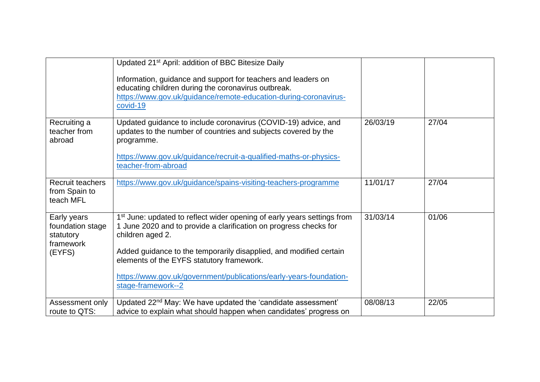|                                                                     | Updated 21 <sup>st</sup> April: addition of BBC Bitesize Daily<br>Information, guidance and support for teachers and leaders on<br>educating children during the coronavirus outbreak.<br>https://www.gov.uk/guidance/remote-education-during-coronavirus-<br>covid-19                                                                                                                      |          |       |  |
|---------------------------------------------------------------------|---------------------------------------------------------------------------------------------------------------------------------------------------------------------------------------------------------------------------------------------------------------------------------------------------------------------------------------------------------------------------------------------|----------|-------|--|
| Recruiting a<br>teacher from<br>abroad                              | Updated guidance to include coronavirus (COVID-19) advice, and<br>updates to the number of countries and subjects covered by the<br>programme.<br>https://www.gov.uk/guidance/recruit-a-qualified-maths-or-physics-<br>teacher-from-abroad                                                                                                                                                  | 26/03/19 | 27/04 |  |
| <b>Recruit teachers</b><br>from Spain to<br>teach MFL               | https://www.gov.uk/guidance/spains-visiting-teachers-programme                                                                                                                                                                                                                                                                                                                              | 11/01/17 | 27/04 |  |
| Early years<br>foundation stage<br>statutory<br>framework<br>(EYFS) | 1 <sup>st</sup> June: updated to reflect wider opening of early years settings from<br>1 June 2020 and to provide a clarification on progress checks for<br>children aged 2.<br>Added guidance to the temporarily disapplied, and modified certain<br>elements of the EYFS statutory framework.<br>https://www.gov.uk/government/publications/early-years-foundation-<br>stage-framework--2 | 31/03/14 | 01/06 |  |
| Assessment only<br>route to QTS:                                    | Updated 22 <sup>nd</sup> May: We have updated the 'candidate assessment'<br>advice to explain what should happen when candidates' progress on                                                                                                                                                                                                                                               | 08/08/13 | 22/05 |  |